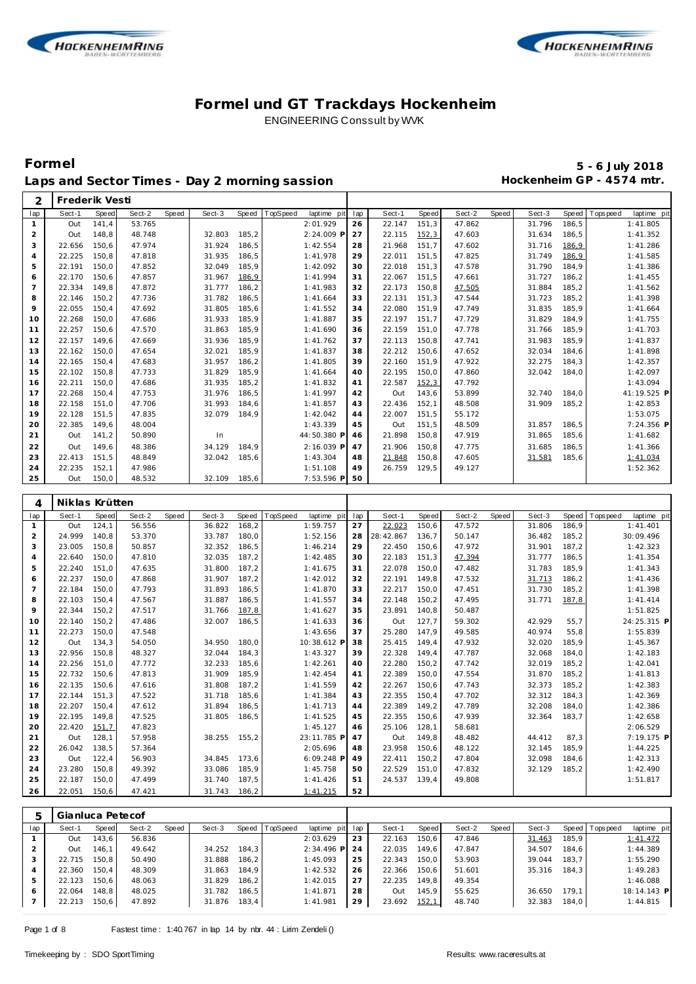



# **Formel 5 - 6 July 2018** Laps and Sector Times - Day 2 morning sassion **Hockenheim GP** - 4574 mtr.

| Sect-1<br>Speed<br>Sect-2<br>Speed<br>TopSpeed<br>Speed<br>Sect-2<br>Sect-3<br>Speed<br>T ops peed<br>lap<br>Sect-3<br>Speed<br>laptime pit<br>lap<br>Sect-1<br>Speed<br>Out<br>141,4<br>53.765<br>2:01.929<br>26<br>22.147<br>151,3<br>47.862<br>31.796<br>186,5<br>$\mathbf{1}$<br>1:41.805<br>$\overline{a}$<br>148,8<br>48.748<br>32.803<br>185,2<br>2:24.009 P<br>27<br>22.115<br>152,3<br>47.603<br>31.634<br>186,5<br>1:41.352<br>Out<br>3<br>22.656<br>150,6<br>47.974<br>31.924<br>186,5<br>1:42.554<br>28<br>21.968<br>151,7<br>47.602<br>31.716<br>186,9<br>1:41.286<br>22.225<br>150,8<br>47.818<br>31.935<br>1:41.978<br>29<br>22.011<br>151,5<br>47.825<br>31.749<br>186,9<br>1:41.585<br>$\overline{4}$<br>186,5<br>184,9<br>22.191<br>150,0<br>47.852<br>32.049<br>185,9<br>1:42.092<br>30<br>22.018<br>151,3<br>47.578<br>31.790<br>1:41.386<br>5<br>22.170<br>150,6<br>47.857<br>31.967<br>186,9<br>1:41.994<br>31<br>22.067<br>151,5<br>47.661<br>31.727<br>186,2<br>1:41.455<br>6<br>$\overline{7}$<br>22.334<br>149,8<br>47.872<br>31.777<br>1:41.983<br>32<br>22.173<br>150,8<br>47.505<br>31.884<br>185,2<br>1:41.562<br>186,2<br>8<br>22.146<br>150,2<br>47.736<br>31.782<br>1:41.664<br>33<br>22.131<br>151,3<br>47.544<br>31.723<br>185,2<br>1:41.398<br>186,5<br>9<br>22.055<br>150,4<br>47.692<br>31.805<br>185,6<br>34<br>22.080<br>151,9<br>47.749<br>31.835<br>185,9<br>1:41.664<br>1:41.552<br>22.268<br>150,0<br>47.686<br>31.933<br>185,9<br>1:41.887<br>35<br>22.197<br>151,7<br>47.729<br>31.829<br>184,9<br>1:41.755<br>10<br>22.257<br>150,6<br>47.570<br>31.863<br>185,9<br>36<br>22.159<br>151,0<br>47.778<br>31.766<br>185,9<br>1:41.703<br>11<br>1:41.690<br>22.157<br>31.936<br>150,8<br>47.741<br>31.983<br>185,9<br>12<br>149,6<br>47.669<br>185,9<br>1:41.762<br>37<br>22.113<br>1:41.837<br>22.162<br>150,0<br>47.654<br>32.021<br>185,9<br>1:41.837<br>22.212<br>150,6<br>47.652<br>32.034<br>184,6<br>1:41.898<br>13<br>38<br>47.922<br>32.275<br>22.165<br>150,4<br>47.683<br>31.957<br>186,2<br>1:41.805<br>39<br>22.160<br>151,9<br>184,3<br>1:42.357<br>14<br>15<br>22.102<br>150,8<br>47.733<br>31.829<br>185,9<br>22.195<br>150,0<br>47.860<br>32.042<br>184,0<br>1:42.097<br>1:41.664<br>40<br>47.792<br>22.211<br>150,0<br>47.686<br>31.935<br>185,2<br>1:41.832<br>22.587<br>152,3<br>1:43.094<br>16<br>41<br>53.899<br>22.268<br>150,4<br>47.753<br>31.976<br>186,5<br>1:41.997<br>Out<br>143,6<br>32.740<br>184,0<br>17<br>42<br>31.993<br>22.158<br>151,0<br>47.706<br>184,6<br>1:41.857<br>22.436<br>152,1<br>48.508<br>31.909<br>185,2<br>1:42.853<br>18<br>43<br>1:53.075<br>19<br>22.128<br>151,5<br>47.835<br>32.079<br>184,9<br>1:42.042<br>22.007<br>151,5<br>55.172<br>44<br>20<br>22.385<br>149,6<br>48.004<br>1:43.339<br>45<br>Out<br>151,5<br>48.509<br>31.857<br>186,5<br>141,2<br>50.890<br>44:50.380 P<br>21.898<br>150,8<br>47.919<br>31.865<br>185,6<br>1:41.682<br>21<br>Out<br>In<br>46<br>149,6<br>34.129<br>184,9<br>2:16.039 P<br>21.906<br>150,8<br>47.775<br>31.685<br>186,5<br>1:41.366<br>22<br>Out<br>48.386<br>47<br>23<br>151,5<br>48.849<br>21.848<br>47.605<br>185,6<br>22.413<br>32.042<br>185,6<br>1:43.304<br>48<br>150,8<br>31.581<br>1:41.034<br>24<br>22.235<br>152,1<br>47.986<br>49<br>26.759<br>129,5<br>49.127<br>1:51.108<br>1:52.362<br>25<br>150,0<br>48.532<br>Out<br>32.109<br>185,6<br>7:53.596 P<br>50<br>Niklas Krütten<br>4<br>Speed<br>Sect-2<br>Sect-3<br>Speed<br>Sect-2<br>Sect-3<br>Speed<br>Sect-1<br>Speed<br>Speed<br>TopSpeed<br>laptime pit<br>lap<br>Sect-1<br>Speed<br>T ops pee d<br>laptime pit<br>lap<br>Out<br>124,1<br>56.556<br>36.822<br>168,2<br>1:59.757<br>27<br>22.023<br>150,6<br>47.572<br>31.806<br>186,9<br>1:41.401<br>$\mathbf{1}$<br>$\overline{a}$<br>24.999<br>140,8<br>53.370<br>33.787<br>180,0<br>1:52.156<br>28<br>28:42.867<br>136,7<br>50.147<br>36.482<br>185,2<br>30:09.496<br>3<br>23.005<br>150,8<br>50.857<br>32.352<br>29<br>22.450<br>47.972<br>31.901<br>187,2<br>1:42.323<br>186,5<br>1:46.214<br>150,6<br>22.640<br>150,0<br>47.810<br>32.035<br>187,2<br>1:42.485<br>30<br>22.183<br>151,3<br>47.394<br>31.777<br>186,5<br>1:41.354<br>$\overline{4}$<br>22.078<br>150,0<br>47.482<br>31.783<br>185,9<br>22.240<br>151,0<br>47.635<br>31.800<br>187,2<br>1:41.675<br>1:41.343<br>5<br>31<br>47.532<br>22.237<br>150,0<br>47.868<br>31.907<br>187,2<br>1:42.012<br>22.191<br>149,8<br>31.713<br>186,2<br>1:41.436<br>32<br>6<br>22.184<br>150,0<br>47.793<br>31.893<br>186,5<br>1:41.870<br>22.217<br>150,0<br>47.451<br>31.730<br>185,2<br>1:41.398<br>7<br>33<br>22.103<br>47.495<br>8<br>150,4<br>47.567<br>31.887<br>186,5<br>1:41.557<br>34<br>22.148<br>150,2<br>31.771<br>187,8<br>1:41.414<br>9<br>22.344<br>150,2<br>47.517<br>31.766<br>187,8<br>1:41.627<br>23.891<br>140,8<br>50.487<br>1:51.825<br>35<br>10<br>22.140<br>150,2<br>47.486<br>32.007<br>186,5<br>1:41.633<br>Out<br>127,7<br>59.302<br>42.929<br>36<br>55,7<br>22.273<br>150,0<br>47.548<br>1:43.656<br>25.280<br>147,9<br>49.585<br>40.974<br>55,8<br>1:55.839<br>11<br>37<br>134,3<br>54.050<br>34.950<br>180,0<br>10:38.612 P<br>25.415<br>149,4<br>47.932<br>32.020<br>185,9<br>1:45.367<br>12<br>Out<br>38<br>22.956<br>150,8<br>48.327<br>32.044<br>184,3<br>1:43.327<br>39<br>22.328<br>149,4<br>47.787<br>32.068<br>184,0<br>1:42.183<br>13<br>22.256<br>151,0<br>47.772<br>32.233<br>185,6<br>1:42.261<br>22.280<br>150,2<br>47.742<br>32.019<br>185,2<br>1:42.041<br>14<br>40<br>15<br>22.732<br>150,6<br>47.813<br>31.909<br>185,9<br>22.389<br>150,0<br>47.554<br>31.870<br>185,2<br>1:41.813<br>1:42.454<br>41<br>22.135<br>150,6<br>47.616<br>31.808<br>187,2<br>22.267<br>150,6<br>47.743<br>32.373<br>185,2<br>1:42.383<br>16<br>1:41.559<br>42<br>17<br>22.144<br>151,3<br>22.355<br>150,4<br>47.702<br>32.312<br>184,3<br>1:42.369<br>47.522<br>31.718<br>185,6<br>1:41.384<br>43<br>22.207<br>150,4<br>47.612<br>31.894<br>22.389<br>149,2<br>47.789<br>32.208<br>184,0<br>18<br>186,5<br>1:41.713<br>44<br>1:42.386<br>47.939<br>19<br>22.195<br>149,8<br>47.525<br>31.805<br>186,5<br>1:41.525<br>45<br>22.355<br>150,6<br>32.364<br>183,7<br>1:42.658<br>22.420 151,7<br>20<br>47.823<br>1:45.127<br>25.106 128,1<br>58.681<br>2:06.529<br>46<br>128,1<br>Out<br>21<br>Out<br>57.958<br>38.255 155,2<br>23:11.785 P<br>47<br>149,8<br>48.482<br>44.412<br>87,3<br>138,5<br>26.042<br>23.958 150,6<br>185,9<br>22<br>57.364<br>2:05.696<br>48<br>48.122<br>32.145<br>1:44.225<br>122,4<br>32.098<br>23<br>Out<br>56.903<br>34.845<br>173,6<br>6:09.248 P<br>49<br>22.411 150,2<br>47.804<br>184,6<br>1:42.313<br>23.280<br>150,8<br>33.086<br>22.529<br>47.832<br>32.129<br>185,2<br>1:42.490<br>24<br>49.392<br>185,9<br>1:45.758<br>50<br>151,0<br>24.537 139,4<br>49.808<br>25<br>22.187<br>150,0<br>47.499<br>31.740<br>187,5<br>1:41.426<br>1:51.817<br>51<br>22.051<br>150,6<br>47.421<br>31.743<br>186,2<br>1:41.215<br>52<br>26 | 2 | Frederik Vesti |  |  |  |  |  |  |  |             |
|--------------------------------------------------------------------------------------------------------------------------------------------------------------------------------------------------------------------------------------------------------------------------------------------------------------------------------------------------------------------------------------------------------------------------------------------------------------------------------------------------------------------------------------------------------------------------------------------------------------------------------------------------------------------------------------------------------------------------------------------------------------------------------------------------------------------------------------------------------------------------------------------------------------------------------------------------------------------------------------------------------------------------------------------------------------------------------------------------------------------------------------------------------------------------------------------------------------------------------------------------------------------------------------------------------------------------------------------------------------------------------------------------------------------------------------------------------------------------------------------------------------------------------------------------------------------------------------------------------------------------------------------------------------------------------------------------------------------------------------------------------------------------------------------------------------------------------------------------------------------------------------------------------------------------------------------------------------------------------------------------------------------------------------------------------------------------------------------------------------------------------------------------------------------------------------------------------------------------------------------------------------------------------------------------------------------------------------------------------------------------------------------------------------------------------------------------------------------------------------------------------------------------------------------------------------------------------------------------------------------------------------------------------------------------------------------------------------------------------------------------------------------------------------------------------------------------------------------------------------------------------------------------------------------------------------------------------------------------------------------------------------------------------------------------------------------------------------------------------------------------------------------------------------------------------------------------------------------------------------------------------------------------------------------------------------------------------------------------------------------------------------------------------------------------------------------------------------------------------------------------------------------------------------------------------------------------------------------------------------------------------------------------------------------------------------------------------------------------------------------------------------------------------------------------------------------------------------------------------------------------------------------------------------------------------------------------------------------------------------------------------------------------------------------------------------------------------------------------------------------------------------------------------------------------------------------------------------------------------------------------------------------------------------------------------------------------------------------------------------------------------------------------------------------------------------------------------------------------------------------------------------------------------------------------------------------------------------------------------------------------------------------------------------------------------------------------------------------------------------------------------------------------------------------------------------------------------------------------------------------------------------------------------------------------------------------------------------------------------------------------------------------------------------------------------------------------------------------------------------------------------------------------------------------------------------------------------------------------------------------------------------------------------------------------------------------------------------------------------------------------------------------------------------------------------------------------------------------------------------------------------------------------------------------------------------------------------------------------------------------------------------------------------------------------------------------------------------------------------------------------------------------------------------------------------------------------------------------------------------------------------------------------------------------------------------------------------------------------------------------------------------------------------------------------------------------------------------------------------------------------------------------------------------------------------------------------------------------------------------------------------------------------------------------------------------------------------------------------------------------------------------------------------------------------------------------------------------------------------------------------------------------------------------------------------------------------------------------------------------------------------------------------------------------------------------------------------------------------------------------------------------------------------------------------------------------------------------------------------------------------------------------------------------------------------------------------------------------------------------------------------|---|----------------|--|--|--|--|--|--|--|-------------|
|                                                                                                                                                                                                                                                                                                                                                                                                                                                                                                                                                                                                                                                                                                                                                                                                                                                                                                                                                                                                                                                                                                                                                                                                                                                                                                                                                                                                                                                                                                                                                                                                                                                                                                                                                                                                                                                                                                                                                                                                                                                                                                                                                                                                                                                                                                                                                                                                                                                                                                                                                                                                                                                                                                                                                                                                                                                                                                                                                                                                                                                                                                                                                                                                                                                                                                                                                                                                                                                                                                                                                                                                                                                                                                                                                                                                                                                                                                                                                                                                                                                                                                                                                                                                                                                                                                                                                                                                                                                                                                                                                                                                                                                                                                                                                                                                                                                                                                                                                                                                                                                                                                                                                                                                                                                                                                                                                                                                                                                                                                                                                                                                                                                                                                                                                                                                                                                                                                                                                                                                                                                                                                                                                                                                                                                                                                                                                                                                                                                                                                                                                                                                                                                                                                                                                                                                                                                                                                                                                                                                        |   |                |  |  |  |  |  |  |  | laptime pit |
|                                                                                                                                                                                                                                                                                                                                                                                                                                                                                                                                                                                                                                                                                                                                                                                                                                                                                                                                                                                                                                                                                                                                                                                                                                                                                                                                                                                                                                                                                                                                                                                                                                                                                                                                                                                                                                                                                                                                                                                                                                                                                                                                                                                                                                                                                                                                                                                                                                                                                                                                                                                                                                                                                                                                                                                                                                                                                                                                                                                                                                                                                                                                                                                                                                                                                                                                                                                                                                                                                                                                                                                                                                                                                                                                                                                                                                                                                                                                                                                                                                                                                                                                                                                                                                                                                                                                                                                                                                                                                                                                                                                                                                                                                                                                                                                                                                                                                                                                                                                                                                                                                                                                                                                                                                                                                                                                                                                                                                                                                                                                                                                                                                                                                                                                                                                                                                                                                                                                                                                                                                                                                                                                                                                                                                                                                                                                                                                                                                                                                                                                                                                                                                                                                                                                                                                                                                                                                                                                                                                                        |   |                |  |  |  |  |  |  |  |             |
|                                                                                                                                                                                                                                                                                                                                                                                                                                                                                                                                                                                                                                                                                                                                                                                                                                                                                                                                                                                                                                                                                                                                                                                                                                                                                                                                                                                                                                                                                                                                                                                                                                                                                                                                                                                                                                                                                                                                                                                                                                                                                                                                                                                                                                                                                                                                                                                                                                                                                                                                                                                                                                                                                                                                                                                                                                                                                                                                                                                                                                                                                                                                                                                                                                                                                                                                                                                                                                                                                                                                                                                                                                                                                                                                                                                                                                                                                                                                                                                                                                                                                                                                                                                                                                                                                                                                                                                                                                                                                                                                                                                                                                                                                                                                                                                                                                                                                                                                                                                                                                                                                                                                                                                                                                                                                                                                                                                                                                                                                                                                                                                                                                                                                                                                                                                                                                                                                                                                                                                                                                                                                                                                                                                                                                                                                                                                                                                                                                                                                                                                                                                                                                                                                                                                                                                                                                                                                                                                                                                                        |   |                |  |  |  |  |  |  |  |             |
|                                                                                                                                                                                                                                                                                                                                                                                                                                                                                                                                                                                                                                                                                                                                                                                                                                                                                                                                                                                                                                                                                                                                                                                                                                                                                                                                                                                                                                                                                                                                                                                                                                                                                                                                                                                                                                                                                                                                                                                                                                                                                                                                                                                                                                                                                                                                                                                                                                                                                                                                                                                                                                                                                                                                                                                                                                                                                                                                                                                                                                                                                                                                                                                                                                                                                                                                                                                                                                                                                                                                                                                                                                                                                                                                                                                                                                                                                                                                                                                                                                                                                                                                                                                                                                                                                                                                                                                                                                                                                                                                                                                                                                                                                                                                                                                                                                                                                                                                                                                                                                                                                                                                                                                                                                                                                                                                                                                                                                                                                                                                                                                                                                                                                                                                                                                                                                                                                                                                                                                                                                                                                                                                                                                                                                                                                                                                                                                                                                                                                                                                                                                                                                                                                                                                                                                                                                                                                                                                                                                                        |   |                |  |  |  |  |  |  |  |             |
|                                                                                                                                                                                                                                                                                                                                                                                                                                                                                                                                                                                                                                                                                                                                                                                                                                                                                                                                                                                                                                                                                                                                                                                                                                                                                                                                                                                                                                                                                                                                                                                                                                                                                                                                                                                                                                                                                                                                                                                                                                                                                                                                                                                                                                                                                                                                                                                                                                                                                                                                                                                                                                                                                                                                                                                                                                                                                                                                                                                                                                                                                                                                                                                                                                                                                                                                                                                                                                                                                                                                                                                                                                                                                                                                                                                                                                                                                                                                                                                                                                                                                                                                                                                                                                                                                                                                                                                                                                                                                                                                                                                                                                                                                                                                                                                                                                                                                                                                                                                                                                                                                                                                                                                                                                                                                                                                                                                                                                                                                                                                                                                                                                                                                                                                                                                                                                                                                                                                                                                                                                                                                                                                                                                                                                                                                                                                                                                                                                                                                                                                                                                                                                                                                                                                                                                                                                                                                                                                                                                                        |   |                |  |  |  |  |  |  |  |             |
|                                                                                                                                                                                                                                                                                                                                                                                                                                                                                                                                                                                                                                                                                                                                                                                                                                                                                                                                                                                                                                                                                                                                                                                                                                                                                                                                                                                                                                                                                                                                                                                                                                                                                                                                                                                                                                                                                                                                                                                                                                                                                                                                                                                                                                                                                                                                                                                                                                                                                                                                                                                                                                                                                                                                                                                                                                                                                                                                                                                                                                                                                                                                                                                                                                                                                                                                                                                                                                                                                                                                                                                                                                                                                                                                                                                                                                                                                                                                                                                                                                                                                                                                                                                                                                                                                                                                                                                                                                                                                                                                                                                                                                                                                                                                                                                                                                                                                                                                                                                                                                                                                                                                                                                                                                                                                                                                                                                                                                                                                                                                                                                                                                                                                                                                                                                                                                                                                                                                                                                                                                                                                                                                                                                                                                                                                                                                                                                                                                                                                                                                                                                                                                                                                                                                                                                                                                                                                                                                                                                                        |   |                |  |  |  |  |  |  |  |             |
|                                                                                                                                                                                                                                                                                                                                                                                                                                                                                                                                                                                                                                                                                                                                                                                                                                                                                                                                                                                                                                                                                                                                                                                                                                                                                                                                                                                                                                                                                                                                                                                                                                                                                                                                                                                                                                                                                                                                                                                                                                                                                                                                                                                                                                                                                                                                                                                                                                                                                                                                                                                                                                                                                                                                                                                                                                                                                                                                                                                                                                                                                                                                                                                                                                                                                                                                                                                                                                                                                                                                                                                                                                                                                                                                                                                                                                                                                                                                                                                                                                                                                                                                                                                                                                                                                                                                                                                                                                                                                                                                                                                                                                                                                                                                                                                                                                                                                                                                                                                                                                                                                                                                                                                                                                                                                                                                                                                                                                                                                                                                                                                                                                                                                                                                                                                                                                                                                                                                                                                                                                                                                                                                                                                                                                                                                                                                                                                                                                                                                                                                                                                                                                                                                                                                                                                                                                                                                                                                                                                                        |   |                |  |  |  |  |  |  |  |             |
|                                                                                                                                                                                                                                                                                                                                                                                                                                                                                                                                                                                                                                                                                                                                                                                                                                                                                                                                                                                                                                                                                                                                                                                                                                                                                                                                                                                                                                                                                                                                                                                                                                                                                                                                                                                                                                                                                                                                                                                                                                                                                                                                                                                                                                                                                                                                                                                                                                                                                                                                                                                                                                                                                                                                                                                                                                                                                                                                                                                                                                                                                                                                                                                                                                                                                                                                                                                                                                                                                                                                                                                                                                                                                                                                                                                                                                                                                                                                                                                                                                                                                                                                                                                                                                                                                                                                                                                                                                                                                                                                                                                                                                                                                                                                                                                                                                                                                                                                                                                                                                                                                                                                                                                                                                                                                                                                                                                                                                                                                                                                                                                                                                                                                                                                                                                                                                                                                                                                                                                                                                                                                                                                                                                                                                                                                                                                                                                                                                                                                                                                                                                                                                                                                                                                                                                                                                                                                                                                                                                                        |   |                |  |  |  |  |  |  |  |             |
|                                                                                                                                                                                                                                                                                                                                                                                                                                                                                                                                                                                                                                                                                                                                                                                                                                                                                                                                                                                                                                                                                                                                                                                                                                                                                                                                                                                                                                                                                                                                                                                                                                                                                                                                                                                                                                                                                                                                                                                                                                                                                                                                                                                                                                                                                                                                                                                                                                                                                                                                                                                                                                                                                                                                                                                                                                                                                                                                                                                                                                                                                                                                                                                                                                                                                                                                                                                                                                                                                                                                                                                                                                                                                                                                                                                                                                                                                                                                                                                                                                                                                                                                                                                                                                                                                                                                                                                                                                                                                                                                                                                                                                                                                                                                                                                                                                                                                                                                                                                                                                                                                                                                                                                                                                                                                                                                                                                                                                                                                                                                                                                                                                                                                                                                                                                                                                                                                                                                                                                                                                                                                                                                                                                                                                                                                                                                                                                                                                                                                                                                                                                                                                                                                                                                                                                                                                                                                                                                                                                                        |   |                |  |  |  |  |  |  |  |             |
|                                                                                                                                                                                                                                                                                                                                                                                                                                                                                                                                                                                                                                                                                                                                                                                                                                                                                                                                                                                                                                                                                                                                                                                                                                                                                                                                                                                                                                                                                                                                                                                                                                                                                                                                                                                                                                                                                                                                                                                                                                                                                                                                                                                                                                                                                                                                                                                                                                                                                                                                                                                                                                                                                                                                                                                                                                                                                                                                                                                                                                                                                                                                                                                                                                                                                                                                                                                                                                                                                                                                                                                                                                                                                                                                                                                                                                                                                                                                                                                                                                                                                                                                                                                                                                                                                                                                                                                                                                                                                                                                                                                                                                                                                                                                                                                                                                                                                                                                                                                                                                                                                                                                                                                                                                                                                                                                                                                                                                                                                                                                                                                                                                                                                                                                                                                                                                                                                                                                                                                                                                                                                                                                                                                                                                                                                                                                                                                                                                                                                                                                                                                                                                                                                                                                                                                                                                                                                                                                                                                                        |   |                |  |  |  |  |  |  |  |             |
|                                                                                                                                                                                                                                                                                                                                                                                                                                                                                                                                                                                                                                                                                                                                                                                                                                                                                                                                                                                                                                                                                                                                                                                                                                                                                                                                                                                                                                                                                                                                                                                                                                                                                                                                                                                                                                                                                                                                                                                                                                                                                                                                                                                                                                                                                                                                                                                                                                                                                                                                                                                                                                                                                                                                                                                                                                                                                                                                                                                                                                                                                                                                                                                                                                                                                                                                                                                                                                                                                                                                                                                                                                                                                                                                                                                                                                                                                                                                                                                                                                                                                                                                                                                                                                                                                                                                                                                                                                                                                                                                                                                                                                                                                                                                                                                                                                                                                                                                                                                                                                                                                                                                                                                                                                                                                                                                                                                                                                                                                                                                                                                                                                                                                                                                                                                                                                                                                                                                                                                                                                                                                                                                                                                                                                                                                                                                                                                                                                                                                                                                                                                                                                                                                                                                                                                                                                                                                                                                                                                                        |   |                |  |  |  |  |  |  |  |             |
|                                                                                                                                                                                                                                                                                                                                                                                                                                                                                                                                                                                                                                                                                                                                                                                                                                                                                                                                                                                                                                                                                                                                                                                                                                                                                                                                                                                                                                                                                                                                                                                                                                                                                                                                                                                                                                                                                                                                                                                                                                                                                                                                                                                                                                                                                                                                                                                                                                                                                                                                                                                                                                                                                                                                                                                                                                                                                                                                                                                                                                                                                                                                                                                                                                                                                                                                                                                                                                                                                                                                                                                                                                                                                                                                                                                                                                                                                                                                                                                                                                                                                                                                                                                                                                                                                                                                                                                                                                                                                                                                                                                                                                                                                                                                                                                                                                                                                                                                                                                                                                                                                                                                                                                                                                                                                                                                                                                                                                                                                                                                                                                                                                                                                                                                                                                                                                                                                                                                                                                                                                                                                                                                                                                                                                                                                                                                                                                                                                                                                                                                                                                                                                                                                                                                                                                                                                                                                                                                                                                                        |   |                |  |  |  |  |  |  |  |             |
|                                                                                                                                                                                                                                                                                                                                                                                                                                                                                                                                                                                                                                                                                                                                                                                                                                                                                                                                                                                                                                                                                                                                                                                                                                                                                                                                                                                                                                                                                                                                                                                                                                                                                                                                                                                                                                                                                                                                                                                                                                                                                                                                                                                                                                                                                                                                                                                                                                                                                                                                                                                                                                                                                                                                                                                                                                                                                                                                                                                                                                                                                                                                                                                                                                                                                                                                                                                                                                                                                                                                                                                                                                                                                                                                                                                                                                                                                                                                                                                                                                                                                                                                                                                                                                                                                                                                                                                                                                                                                                                                                                                                                                                                                                                                                                                                                                                                                                                                                                                                                                                                                                                                                                                                                                                                                                                                                                                                                                                                                                                                                                                                                                                                                                                                                                                                                                                                                                                                                                                                                                                                                                                                                                                                                                                                                                                                                                                                                                                                                                                                                                                                                                                                                                                                                                                                                                                                                                                                                                                                        |   |                |  |  |  |  |  |  |  |             |
|                                                                                                                                                                                                                                                                                                                                                                                                                                                                                                                                                                                                                                                                                                                                                                                                                                                                                                                                                                                                                                                                                                                                                                                                                                                                                                                                                                                                                                                                                                                                                                                                                                                                                                                                                                                                                                                                                                                                                                                                                                                                                                                                                                                                                                                                                                                                                                                                                                                                                                                                                                                                                                                                                                                                                                                                                                                                                                                                                                                                                                                                                                                                                                                                                                                                                                                                                                                                                                                                                                                                                                                                                                                                                                                                                                                                                                                                                                                                                                                                                                                                                                                                                                                                                                                                                                                                                                                                                                                                                                                                                                                                                                                                                                                                                                                                                                                                                                                                                                                                                                                                                                                                                                                                                                                                                                                                                                                                                                                                                                                                                                                                                                                                                                                                                                                                                                                                                                                                                                                                                                                                                                                                                                                                                                                                                                                                                                                                                                                                                                                                                                                                                                                                                                                                                                                                                                                                                                                                                                                                        |   |                |  |  |  |  |  |  |  |             |
|                                                                                                                                                                                                                                                                                                                                                                                                                                                                                                                                                                                                                                                                                                                                                                                                                                                                                                                                                                                                                                                                                                                                                                                                                                                                                                                                                                                                                                                                                                                                                                                                                                                                                                                                                                                                                                                                                                                                                                                                                                                                                                                                                                                                                                                                                                                                                                                                                                                                                                                                                                                                                                                                                                                                                                                                                                                                                                                                                                                                                                                                                                                                                                                                                                                                                                                                                                                                                                                                                                                                                                                                                                                                                                                                                                                                                                                                                                                                                                                                                                                                                                                                                                                                                                                                                                                                                                                                                                                                                                                                                                                                                                                                                                                                                                                                                                                                                                                                                                                                                                                                                                                                                                                                                                                                                                                                                                                                                                                                                                                                                                                                                                                                                                                                                                                                                                                                                                                                                                                                                                                                                                                                                                                                                                                                                                                                                                                                                                                                                                                                                                                                                                                                                                                                                                                                                                                                                                                                                                                                        |   |                |  |  |  |  |  |  |  |             |
|                                                                                                                                                                                                                                                                                                                                                                                                                                                                                                                                                                                                                                                                                                                                                                                                                                                                                                                                                                                                                                                                                                                                                                                                                                                                                                                                                                                                                                                                                                                                                                                                                                                                                                                                                                                                                                                                                                                                                                                                                                                                                                                                                                                                                                                                                                                                                                                                                                                                                                                                                                                                                                                                                                                                                                                                                                                                                                                                                                                                                                                                                                                                                                                                                                                                                                                                                                                                                                                                                                                                                                                                                                                                                                                                                                                                                                                                                                                                                                                                                                                                                                                                                                                                                                                                                                                                                                                                                                                                                                                                                                                                                                                                                                                                                                                                                                                                                                                                                                                                                                                                                                                                                                                                                                                                                                                                                                                                                                                                                                                                                                                                                                                                                                                                                                                                                                                                                                                                                                                                                                                                                                                                                                                                                                                                                                                                                                                                                                                                                                                                                                                                                                                                                                                                                                                                                                                                                                                                                                                                        |   |                |  |  |  |  |  |  |  |             |
|                                                                                                                                                                                                                                                                                                                                                                                                                                                                                                                                                                                                                                                                                                                                                                                                                                                                                                                                                                                                                                                                                                                                                                                                                                                                                                                                                                                                                                                                                                                                                                                                                                                                                                                                                                                                                                                                                                                                                                                                                                                                                                                                                                                                                                                                                                                                                                                                                                                                                                                                                                                                                                                                                                                                                                                                                                                                                                                                                                                                                                                                                                                                                                                                                                                                                                                                                                                                                                                                                                                                                                                                                                                                                                                                                                                                                                                                                                                                                                                                                                                                                                                                                                                                                                                                                                                                                                                                                                                                                                                                                                                                                                                                                                                                                                                                                                                                                                                                                                                                                                                                                                                                                                                                                                                                                                                                                                                                                                                                                                                                                                                                                                                                                                                                                                                                                                                                                                                                                                                                                                                                                                                                                                                                                                                                                                                                                                                                                                                                                                                                                                                                                                                                                                                                                                                                                                                                                                                                                                                                        |   |                |  |  |  |  |  |  |  |             |
|                                                                                                                                                                                                                                                                                                                                                                                                                                                                                                                                                                                                                                                                                                                                                                                                                                                                                                                                                                                                                                                                                                                                                                                                                                                                                                                                                                                                                                                                                                                                                                                                                                                                                                                                                                                                                                                                                                                                                                                                                                                                                                                                                                                                                                                                                                                                                                                                                                                                                                                                                                                                                                                                                                                                                                                                                                                                                                                                                                                                                                                                                                                                                                                                                                                                                                                                                                                                                                                                                                                                                                                                                                                                                                                                                                                                                                                                                                                                                                                                                                                                                                                                                                                                                                                                                                                                                                                                                                                                                                                                                                                                                                                                                                                                                                                                                                                                                                                                                                                                                                                                                                                                                                                                                                                                                                                                                                                                                                                                                                                                                                                                                                                                                                                                                                                                                                                                                                                                                                                                                                                                                                                                                                                                                                                                                                                                                                                                                                                                                                                                                                                                                                                                                                                                                                                                                                                                                                                                                                                                        |   |                |  |  |  |  |  |  |  | 41:19.525 P |
|                                                                                                                                                                                                                                                                                                                                                                                                                                                                                                                                                                                                                                                                                                                                                                                                                                                                                                                                                                                                                                                                                                                                                                                                                                                                                                                                                                                                                                                                                                                                                                                                                                                                                                                                                                                                                                                                                                                                                                                                                                                                                                                                                                                                                                                                                                                                                                                                                                                                                                                                                                                                                                                                                                                                                                                                                                                                                                                                                                                                                                                                                                                                                                                                                                                                                                                                                                                                                                                                                                                                                                                                                                                                                                                                                                                                                                                                                                                                                                                                                                                                                                                                                                                                                                                                                                                                                                                                                                                                                                                                                                                                                                                                                                                                                                                                                                                                                                                                                                                                                                                                                                                                                                                                                                                                                                                                                                                                                                                                                                                                                                                                                                                                                                                                                                                                                                                                                                                                                                                                                                                                                                                                                                                                                                                                                                                                                                                                                                                                                                                                                                                                                                                                                                                                                                                                                                                                                                                                                                                                        |   |                |  |  |  |  |  |  |  |             |
|                                                                                                                                                                                                                                                                                                                                                                                                                                                                                                                                                                                                                                                                                                                                                                                                                                                                                                                                                                                                                                                                                                                                                                                                                                                                                                                                                                                                                                                                                                                                                                                                                                                                                                                                                                                                                                                                                                                                                                                                                                                                                                                                                                                                                                                                                                                                                                                                                                                                                                                                                                                                                                                                                                                                                                                                                                                                                                                                                                                                                                                                                                                                                                                                                                                                                                                                                                                                                                                                                                                                                                                                                                                                                                                                                                                                                                                                                                                                                                                                                                                                                                                                                                                                                                                                                                                                                                                                                                                                                                                                                                                                                                                                                                                                                                                                                                                                                                                                                                                                                                                                                                                                                                                                                                                                                                                                                                                                                                                                                                                                                                                                                                                                                                                                                                                                                                                                                                                                                                                                                                                                                                                                                                                                                                                                                                                                                                                                                                                                                                                                                                                                                                                                                                                                                                                                                                                                                                                                                                                                        |   |                |  |  |  |  |  |  |  |             |
|                                                                                                                                                                                                                                                                                                                                                                                                                                                                                                                                                                                                                                                                                                                                                                                                                                                                                                                                                                                                                                                                                                                                                                                                                                                                                                                                                                                                                                                                                                                                                                                                                                                                                                                                                                                                                                                                                                                                                                                                                                                                                                                                                                                                                                                                                                                                                                                                                                                                                                                                                                                                                                                                                                                                                                                                                                                                                                                                                                                                                                                                                                                                                                                                                                                                                                                                                                                                                                                                                                                                                                                                                                                                                                                                                                                                                                                                                                                                                                                                                                                                                                                                                                                                                                                                                                                                                                                                                                                                                                                                                                                                                                                                                                                                                                                                                                                                                                                                                                                                                                                                                                                                                                                                                                                                                                                                                                                                                                                                                                                                                                                                                                                                                                                                                                                                                                                                                                                                                                                                                                                                                                                                                                                                                                                                                                                                                                                                                                                                                                                                                                                                                                                                                                                                                                                                                                                                                                                                                                                                        |   |                |  |  |  |  |  |  |  | 7:24.356 P  |
|                                                                                                                                                                                                                                                                                                                                                                                                                                                                                                                                                                                                                                                                                                                                                                                                                                                                                                                                                                                                                                                                                                                                                                                                                                                                                                                                                                                                                                                                                                                                                                                                                                                                                                                                                                                                                                                                                                                                                                                                                                                                                                                                                                                                                                                                                                                                                                                                                                                                                                                                                                                                                                                                                                                                                                                                                                                                                                                                                                                                                                                                                                                                                                                                                                                                                                                                                                                                                                                                                                                                                                                                                                                                                                                                                                                                                                                                                                                                                                                                                                                                                                                                                                                                                                                                                                                                                                                                                                                                                                                                                                                                                                                                                                                                                                                                                                                                                                                                                                                                                                                                                                                                                                                                                                                                                                                                                                                                                                                                                                                                                                                                                                                                                                                                                                                                                                                                                                                                                                                                                                                                                                                                                                                                                                                                                                                                                                                                                                                                                                                                                                                                                                                                                                                                                                                                                                                                                                                                                                                                        |   |                |  |  |  |  |  |  |  |             |
|                                                                                                                                                                                                                                                                                                                                                                                                                                                                                                                                                                                                                                                                                                                                                                                                                                                                                                                                                                                                                                                                                                                                                                                                                                                                                                                                                                                                                                                                                                                                                                                                                                                                                                                                                                                                                                                                                                                                                                                                                                                                                                                                                                                                                                                                                                                                                                                                                                                                                                                                                                                                                                                                                                                                                                                                                                                                                                                                                                                                                                                                                                                                                                                                                                                                                                                                                                                                                                                                                                                                                                                                                                                                                                                                                                                                                                                                                                                                                                                                                                                                                                                                                                                                                                                                                                                                                                                                                                                                                                                                                                                                                                                                                                                                                                                                                                                                                                                                                                                                                                                                                                                                                                                                                                                                                                                                                                                                                                                                                                                                                                                                                                                                                                                                                                                                                                                                                                                                                                                                                                                                                                                                                                                                                                                                                                                                                                                                                                                                                                                                                                                                                                                                                                                                                                                                                                                                                                                                                                                                        |   |                |  |  |  |  |  |  |  |             |
|                                                                                                                                                                                                                                                                                                                                                                                                                                                                                                                                                                                                                                                                                                                                                                                                                                                                                                                                                                                                                                                                                                                                                                                                                                                                                                                                                                                                                                                                                                                                                                                                                                                                                                                                                                                                                                                                                                                                                                                                                                                                                                                                                                                                                                                                                                                                                                                                                                                                                                                                                                                                                                                                                                                                                                                                                                                                                                                                                                                                                                                                                                                                                                                                                                                                                                                                                                                                                                                                                                                                                                                                                                                                                                                                                                                                                                                                                                                                                                                                                                                                                                                                                                                                                                                                                                                                                                                                                                                                                                                                                                                                                                                                                                                                                                                                                                                                                                                                                                                                                                                                                                                                                                                                                                                                                                                                                                                                                                                                                                                                                                                                                                                                                                                                                                                                                                                                                                                                                                                                                                                                                                                                                                                                                                                                                                                                                                                                                                                                                                                                                                                                                                                                                                                                                                                                                                                                                                                                                                                                        |   |                |  |  |  |  |  |  |  |             |
|                                                                                                                                                                                                                                                                                                                                                                                                                                                                                                                                                                                                                                                                                                                                                                                                                                                                                                                                                                                                                                                                                                                                                                                                                                                                                                                                                                                                                                                                                                                                                                                                                                                                                                                                                                                                                                                                                                                                                                                                                                                                                                                                                                                                                                                                                                                                                                                                                                                                                                                                                                                                                                                                                                                                                                                                                                                                                                                                                                                                                                                                                                                                                                                                                                                                                                                                                                                                                                                                                                                                                                                                                                                                                                                                                                                                                                                                                                                                                                                                                                                                                                                                                                                                                                                                                                                                                                                                                                                                                                                                                                                                                                                                                                                                                                                                                                                                                                                                                                                                                                                                                                                                                                                                                                                                                                                                                                                                                                                                                                                                                                                                                                                                                                                                                                                                                                                                                                                                                                                                                                                                                                                                                                                                                                                                                                                                                                                                                                                                                                                                                                                                                                                                                                                                                                                                                                                                                                                                                                                                        |   |                |  |  |  |  |  |  |  |             |
|                                                                                                                                                                                                                                                                                                                                                                                                                                                                                                                                                                                                                                                                                                                                                                                                                                                                                                                                                                                                                                                                                                                                                                                                                                                                                                                                                                                                                                                                                                                                                                                                                                                                                                                                                                                                                                                                                                                                                                                                                                                                                                                                                                                                                                                                                                                                                                                                                                                                                                                                                                                                                                                                                                                                                                                                                                                                                                                                                                                                                                                                                                                                                                                                                                                                                                                                                                                                                                                                                                                                                                                                                                                                                                                                                                                                                                                                                                                                                                                                                                                                                                                                                                                                                                                                                                                                                                                                                                                                                                                                                                                                                                                                                                                                                                                                                                                                                                                                                                                                                                                                                                                                                                                                                                                                                                                                                                                                                                                                                                                                                                                                                                                                                                                                                                                                                                                                                                                                                                                                                                                                                                                                                                                                                                                                                                                                                                                                                                                                                                                                                                                                                                                                                                                                                                                                                                                                                                                                                                                                        |   |                |  |  |  |  |  |  |  |             |
|                                                                                                                                                                                                                                                                                                                                                                                                                                                                                                                                                                                                                                                                                                                                                                                                                                                                                                                                                                                                                                                                                                                                                                                                                                                                                                                                                                                                                                                                                                                                                                                                                                                                                                                                                                                                                                                                                                                                                                                                                                                                                                                                                                                                                                                                                                                                                                                                                                                                                                                                                                                                                                                                                                                                                                                                                                                                                                                                                                                                                                                                                                                                                                                                                                                                                                                                                                                                                                                                                                                                                                                                                                                                                                                                                                                                                                                                                                                                                                                                                                                                                                                                                                                                                                                                                                                                                                                                                                                                                                                                                                                                                                                                                                                                                                                                                                                                                                                                                                                                                                                                                                                                                                                                                                                                                                                                                                                                                                                                                                                                                                                                                                                                                                                                                                                                                                                                                                                                                                                                                                                                                                                                                                                                                                                                                                                                                                                                                                                                                                                                                                                                                                                                                                                                                                                                                                                                                                                                                                                                        |   |                |  |  |  |  |  |  |  |             |
|                                                                                                                                                                                                                                                                                                                                                                                                                                                                                                                                                                                                                                                                                                                                                                                                                                                                                                                                                                                                                                                                                                                                                                                                                                                                                                                                                                                                                                                                                                                                                                                                                                                                                                                                                                                                                                                                                                                                                                                                                                                                                                                                                                                                                                                                                                                                                                                                                                                                                                                                                                                                                                                                                                                                                                                                                                                                                                                                                                                                                                                                                                                                                                                                                                                                                                                                                                                                                                                                                                                                                                                                                                                                                                                                                                                                                                                                                                                                                                                                                                                                                                                                                                                                                                                                                                                                                                                                                                                                                                                                                                                                                                                                                                                                                                                                                                                                                                                                                                                                                                                                                                                                                                                                                                                                                                                                                                                                                                                                                                                                                                                                                                                                                                                                                                                                                                                                                                                                                                                                                                                                                                                                                                                                                                                                                                                                                                                                                                                                                                                                                                                                                                                                                                                                                                                                                                                                                                                                                                                                        |   |                |  |  |  |  |  |  |  |             |
|                                                                                                                                                                                                                                                                                                                                                                                                                                                                                                                                                                                                                                                                                                                                                                                                                                                                                                                                                                                                                                                                                                                                                                                                                                                                                                                                                                                                                                                                                                                                                                                                                                                                                                                                                                                                                                                                                                                                                                                                                                                                                                                                                                                                                                                                                                                                                                                                                                                                                                                                                                                                                                                                                                                                                                                                                                                                                                                                                                                                                                                                                                                                                                                                                                                                                                                                                                                                                                                                                                                                                                                                                                                                                                                                                                                                                                                                                                                                                                                                                                                                                                                                                                                                                                                                                                                                                                                                                                                                                                                                                                                                                                                                                                                                                                                                                                                                                                                                                                                                                                                                                                                                                                                                                                                                                                                                                                                                                                                                                                                                                                                                                                                                                                                                                                                                                                                                                                                                                                                                                                                                                                                                                                                                                                                                                                                                                                                                                                                                                                                                                                                                                                                                                                                                                                                                                                                                                                                                                                                                        |   |                |  |  |  |  |  |  |  |             |
|                                                                                                                                                                                                                                                                                                                                                                                                                                                                                                                                                                                                                                                                                                                                                                                                                                                                                                                                                                                                                                                                                                                                                                                                                                                                                                                                                                                                                                                                                                                                                                                                                                                                                                                                                                                                                                                                                                                                                                                                                                                                                                                                                                                                                                                                                                                                                                                                                                                                                                                                                                                                                                                                                                                                                                                                                                                                                                                                                                                                                                                                                                                                                                                                                                                                                                                                                                                                                                                                                                                                                                                                                                                                                                                                                                                                                                                                                                                                                                                                                                                                                                                                                                                                                                                                                                                                                                                                                                                                                                                                                                                                                                                                                                                                                                                                                                                                                                                                                                                                                                                                                                                                                                                                                                                                                                                                                                                                                                                                                                                                                                                                                                                                                                                                                                                                                                                                                                                                                                                                                                                                                                                                                                                                                                                                                                                                                                                                                                                                                                                                                                                                                                                                                                                                                                                                                                                                                                                                                                                                        |   |                |  |  |  |  |  |  |  |             |
|                                                                                                                                                                                                                                                                                                                                                                                                                                                                                                                                                                                                                                                                                                                                                                                                                                                                                                                                                                                                                                                                                                                                                                                                                                                                                                                                                                                                                                                                                                                                                                                                                                                                                                                                                                                                                                                                                                                                                                                                                                                                                                                                                                                                                                                                                                                                                                                                                                                                                                                                                                                                                                                                                                                                                                                                                                                                                                                                                                                                                                                                                                                                                                                                                                                                                                                                                                                                                                                                                                                                                                                                                                                                                                                                                                                                                                                                                                                                                                                                                                                                                                                                                                                                                                                                                                                                                                                                                                                                                                                                                                                                                                                                                                                                                                                                                                                                                                                                                                                                                                                                                                                                                                                                                                                                                                                                                                                                                                                                                                                                                                                                                                                                                                                                                                                                                                                                                                                                                                                                                                                                                                                                                                                                                                                                                                                                                                                                                                                                                                                                                                                                                                                                                                                                                                                                                                                                                                                                                                                                        |   |                |  |  |  |  |  |  |  |             |
|                                                                                                                                                                                                                                                                                                                                                                                                                                                                                                                                                                                                                                                                                                                                                                                                                                                                                                                                                                                                                                                                                                                                                                                                                                                                                                                                                                                                                                                                                                                                                                                                                                                                                                                                                                                                                                                                                                                                                                                                                                                                                                                                                                                                                                                                                                                                                                                                                                                                                                                                                                                                                                                                                                                                                                                                                                                                                                                                                                                                                                                                                                                                                                                                                                                                                                                                                                                                                                                                                                                                                                                                                                                                                                                                                                                                                                                                                                                                                                                                                                                                                                                                                                                                                                                                                                                                                                                                                                                                                                                                                                                                                                                                                                                                                                                                                                                                                                                                                                                                                                                                                                                                                                                                                                                                                                                                                                                                                                                                                                                                                                                                                                                                                                                                                                                                                                                                                                                                                                                                                                                                                                                                                                                                                                                                                                                                                                                                                                                                                                                                                                                                                                                                                                                                                                                                                                                                                                                                                                                                        |   |                |  |  |  |  |  |  |  |             |
|                                                                                                                                                                                                                                                                                                                                                                                                                                                                                                                                                                                                                                                                                                                                                                                                                                                                                                                                                                                                                                                                                                                                                                                                                                                                                                                                                                                                                                                                                                                                                                                                                                                                                                                                                                                                                                                                                                                                                                                                                                                                                                                                                                                                                                                                                                                                                                                                                                                                                                                                                                                                                                                                                                                                                                                                                                                                                                                                                                                                                                                                                                                                                                                                                                                                                                                                                                                                                                                                                                                                                                                                                                                                                                                                                                                                                                                                                                                                                                                                                                                                                                                                                                                                                                                                                                                                                                                                                                                                                                                                                                                                                                                                                                                                                                                                                                                                                                                                                                                                                                                                                                                                                                                                                                                                                                                                                                                                                                                                                                                                                                                                                                                                                                                                                                                                                                                                                                                                                                                                                                                                                                                                                                                                                                                                                                                                                                                                                                                                                                                                                                                                                                                                                                                                                                                                                                                                                                                                                                                                        |   |                |  |  |  |  |  |  |  |             |
|                                                                                                                                                                                                                                                                                                                                                                                                                                                                                                                                                                                                                                                                                                                                                                                                                                                                                                                                                                                                                                                                                                                                                                                                                                                                                                                                                                                                                                                                                                                                                                                                                                                                                                                                                                                                                                                                                                                                                                                                                                                                                                                                                                                                                                                                                                                                                                                                                                                                                                                                                                                                                                                                                                                                                                                                                                                                                                                                                                                                                                                                                                                                                                                                                                                                                                                                                                                                                                                                                                                                                                                                                                                                                                                                                                                                                                                                                                                                                                                                                                                                                                                                                                                                                                                                                                                                                                                                                                                                                                                                                                                                                                                                                                                                                                                                                                                                                                                                                                                                                                                                                                                                                                                                                                                                                                                                                                                                                                                                                                                                                                                                                                                                                                                                                                                                                                                                                                                                                                                                                                                                                                                                                                                                                                                                                                                                                                                                                                                                                                                                                                                                                                                                                                                                                                                                                                                                                                                                                                                                        |   |                |  |  |  |  |  |  |  |             |
|                                                                                                                                                                                                                                                                                                                                                                                                                                                                                                                                                                                                                                                                                                                                                                                                                                                                                                                                                                                                                                                                                                                                                                                                                                                                                                                                                                                                                                                                                                                                                                                                                                                                                                                                                                                                                                                                                                                                                                                                                                                                                                                                                                                                                                                                                                                                                                                                                                                                                                                                                                                                                                                                                                                                                                                                                                                                                                                                                                                                                                                                                                                                                                                                                                                                                                                                                                                                                                                                                                                                                                                                                                                                                                                                                                                                                                                                                                                                                                                                                                                                                                                                                                                                                                                                                                                                                                                                                                                                                                                                                                                                                                                                                                                                                                                                                                                                                                                                                                                                                                                                                                                                                                                                                                                                                                                                                                                                                                                                                                                                                                                                                                                                                                                                                                                                                                                                                                                                                                                                                                                                                                                                                                                                                                                                                                                                                                                                                                                                                                                                                                                                                                                                                                                                                                                                                                                                                                                                                                                                        |   |                |  |  |  |  |  |  |  |             |
|                                                                                                                                                                                                                                                                                                                                                                                                                                                                                                                                                                                                                                                                                                                                                                                                                                                                                                                                                                                                                                                                                                                                                                                                                                                                                                                                                                                                                                                                                                                                                                                                                                                                                                                                                                                                                                                                                                                                                                                                                                                                                                                                                                                                                                                                                                                                                                                                                                                                                                                                                                                                                                                                                                                                                                                                                                                                                                                                                                                                                                                                                                                                                                                                                                                                                                                                                                                                                                                                                                                                                                                                                                                                                                                                                                                                                                                                                                                                                                                                                                                                                                                                                                                                                                                                                                                                                                                                                                                                                                                                                                                                                                                                                                                                                                                                                                                                                                                                                                                                                                                                                                                                                                                                                                                                                                                                                                                                                                                                                                                                                                                                                                                                                                                                                                                                                                                                                                                                                                                                                                                                                                                                                                                                                                                                                                                                                                                                                                                                                                                                                                                                                                                                                                                                                                                                                                                                                                                                                                                                        |   |                |  |  |  |  |  |  |  |             |
|                                                                                                                                                                                                                                                                                                                                                                                                                                                                                                                                                                                                                                                                                                                                                                                                                                                                                                                                                                                                                                                                                                                                                                                                                                                                                                                                                                                                                                                                                                                                                                                                                                                                                                                                                                                                                                                                                                                                                                                                                                                                                                                                                                                                                                                                                                                                                                                                                                                                                                                                                                                                                                                                                                                                                                                                                                                                                                                                                                                                                                                                                                                                                                                                                                                                                                                                                                                                                                                                                                                                                                                                                                                                                                                                                                                                                                                                                                                                                                                                                                                                                                                                                                                                                                                                                                                                                                                                                                                                                                                                                                                                                                                                                                                                                                                                                                                                                                                                                                                                                                                                                                                                                                                                                                                                                                                                                                                                                                                                                                                                                                                                                                                                                                                                                                                                                                                                                                                                                                                                                                                                                                                                                                                                                                                                                                                                                                                                                                                                                                                                                                                                                                                                                                                                                                                                                                                                                                                                                                                                        |   |                |  |  |  |  |  |  |  |             |
|                                                                                                                                                                                                                                                                                                                                                                                                                                                                                                                                                                                                                                                                                                                                                                                                                                                                                                                                                                                                                                                                                                                                                                                                                                                                                                                                                                                                                                                                                                                                                                                                                                                                                                                                                                                                                                                                                                                                                                                                                                                                                                                                                                                                                                                                                                                                                                                                                                                                                                                                                                                                                                                                                                                                                                                                                                                                                                                                                                                                                                                                                                                                                                                                                                                                                                                                                                                                                                                                                                                                                                                                                                                                                                                                                                                                                                                                                                                                                                                                                                                                                                                                                                                                                                                                                                                                                                                                                                                                                                                                                                                                                                                                                                                                                                                                                                                                                                                                                                                                                                                                                                                                                                                                                                                                                                                                                                                                                                                                                                                                                                                                                                                                                                                                                                                                                                                                                                                                                                                                                                                                                                                                                                                                                                                                                                                                                                                                                                                                                                                                                                                                                                                                                                                                                                                                                                                                                                                                                                                                        |   |                |  |  |  |  |  |  |  |             |
|                                                                                                                                                                                                                                                                                                                                                                                                                                                                                                                                                                                                                                                                                                                                                                                                                                                                                                                                                                                                                                                                                                                                                                                                                                                                                                                                                                                                                                                                                                                                                                                                                                                                                                                                                                                                                                                                                                                                                                                                                                                                                                                                                                                                                                                                                                                                                                                                                                                                                                                                                                                                                                                                                                                                                                                                                                                                                                                                                                                                                                                                                                                                                                                                                                                                                                                                                                                                                                                                                                                                                                                                                                                                                                                                                                                                                                                                                                                                                                                                                                                                                                                                                                                                                                                                                                                                                                                                                                                                                                                                                                                                                                                                                                                                                                                                                                                                                                                                                                                                                                                                                                                                                                                                                                                                                                                                                                                                                                                                                                                                                                                                                                                                                                                                                                                                                                                                                                                                                                                                                                                                                                                                                                                                                                                                                                                                                                                                                                                                                                                                                                                                                                                                                                                                                                                                                                                                                                                                                                                                        |   |                |  |  |  |  |  |  |  | 24:25.315 P |
|                                                                                                                                                                                                                                                                                                                                                                                                                                                                                                                                                                                                                                                                                                                                                                                                                                                                                                                                                                                                                                                                                                                                                                                                                                                                                                                                                                                                                                                                                                                                                                                                                                                                                                                                                                                                                                                                                                                                                                                                                                                                                                                                                                                                                                                                                                                                                                                                                                                                                                                                                                                                                                                                                                                                                                                                                                                                                                                                                                                                                                                                                                                                                                                                                                                                                                                                                                                                                                                                                                                                                                                                                                                                                                                                                                                                                                                                                                                                                                                                                                                                                                                                                                                                                                                                                                                                                                                                                                                                                                                                                                                                                                                                                                                                                                                                                                                                                                                                                                                                                                                                                                                                                                                                                                                                                                                                                                                                                                                                                                                                                                                                                                                                                                                                                                                                                                                                                                                                                                                                                                                                                                                                                                                                                                                                                                                                                                                                                                                                                                                                                                                                                                                                                                                                                                                                                                                                                                                                                                                                        |   |                |  |  |  |  |  |  |  |             |
|                                                                                                                                                                                                                                                                                                                                                                                                                                                                                                                                                                                                                                                                                                                                                                                                                                                                                                                                                                                                                                                                                                                                                                                                                                                                                                                                                                                                                                                                                                                                                                                                                                                                                                                                                                                                                                                                                                                                                                                                                                                                                                                                                                                                                                                                                                                                                                                                                                                                                                                                                                                                                                                                                                                                                                                                                                                                                                                                                                                                                                                                                                                                                                                                                                                                                                                                                                                                                                                                                                                                                                                                                                                                                                                                                                                                                                                                                                                                                                                                                                                                                                                                                                                                                                                                                                                                                                                                                                                                                                                                                                                                                                                                                                                                                                                                                                                                                                                                                                                                                                                                                                                                                                                                                                                                                                                                                                                                                                                                                                                                                                                                                                                                                                                                                                                                                                                                                                                                                                                                                                                                                                                                                                                                                                                                                                                                                                                                                                                                                                                                                                                                                                                                                                                                                                                                                                                                                                                                                                                                        |   |                |  |  |  |  |  |  |  |             |
|                                                                                                                                                                                                                                                                                                                                                                                                                                                                                                                                                                                                                                                                                                                                                                                                                                                                                                                                                                                                                                                                                                                                                                                                                                                                                                                                                                                                                                                                                                                                                                                                                                                                                                                                                                                                                                                                                                                                                                                                                                                                                                                                                                                                                                                                                                                                                                                                                                                                                                                                                                                                                                                                                                                                                                                                                                                                                                                                                                                                                                                                                                                                                                                                                                                                                                                                                                                                                                                                                                                                                                                                                                                                                                                                                                                                                                                                                                                                                                                                                                                                                                                                                                                                                                                                                                                                                                                                                                                                                                                                                                                                                                                                                                                                                                                                                                                                                                                                                                                                                                                                                                                                                                                                                                                                                                                                                                                                                                                                                                                                                                                                                                                                                                                                                                                                                                                                                                                                                                                                                                                                                                                                                                                                                                                                                                                                                                                                                                                                                                                                                                                                                                                                                                                                                                                                                                                                                                                                                                                                        |   |                |  |  |  |  |  |  |  |             |
|                                                                                                                                                                                                                                                                                                                                                                                                                                                                                                                                                                                                                                                                                                                                                                                                                                                                                                                                                                                                                                                                                                                                                                                                                                                                                                                                                                                                                                                                                                                                                                                                                                                                                                                                                                                                                                                                                                                                                                                                                                                                                                                                                                                                                                                                                                                                                                                                                                                                                                                                                                                                                                                                                                                                                                                                                                                                                                                                                                                                                                                                                                                                                                                                                                                                                                                                                                                                                                                                                                                                                                                                                                                                                                                                                                                                                                                                                                                                                                                                                                                                                                                                                                                                                                                                                                                                                                                                                                                                                                                                                                                                                                                                                                                                                                                                                                                                                                                                                                                                                                                                                                                                                                                                                                                                                                                                                                                                                                                                                                                                                                                                                                                                                                                                                                                                                                                                                                                                                                                                                                                                                                                                                                                                                                                                                                                                                                                                                                                                                                                                                                                                                                                                                                                                                                                                                                                                                                                                                                                                        |   |                |  |  |  |  |  |  |  |             |
|                                                                                                                                                                                                                                                                                                                                                                                                                                                                                                                                                                                                                                                                                                                                                                                                                                                                                                                                                                                                                                                                                                                                                                                                                                                                                                                                                                                                                                                                                                                                                                                                                                                                                                                                                                                                                                                                                                                                                                                                                                                                                                                                                                                                                                                                                                                                                                                                                                                                                                                                                                                                                                                                                                                                                                                                                                                                                                                                                                                                                                                                                                                                                                                                                                                                                                                                                                                                                                                                                                                                                                                                                                                                                                                                                                                                                                                                                                                                                                                                                                                                                                                                                                                                                                                                                                                                                                                                                                                                                                                                                                                                                                                                                                                                                                                                                                                                                                                                                                                                                                                                                                                                                                                                                                                                                                                                                                                                                                                                                                                                                                                                                                                                                                                                                                                                                                                                                                                                                                                                                                                                                                                                                                                                                                                                                                                                                                                                                                                                                                                                                                                                                                                                                                                                                                                                                                                                                                                                                                                                        |   |                |  |  |  |  |  |  |  |             |
|                                                                                                                                                                                                                                                                                                                                                                                                                                                                                                                                                                                                                                                                                                                                                                                                                                                                                                                                                                                                                                                                                                                                                                                                                                                                                                                                                                                                                                                                                                                                                                                                                                                                                                                                                                                                                                                                                                                                                                                                                                                                                                                                                                                                                                                                                                                                                                                                                                                                                                                                                                                                                                                                                                                                                                                                                                                                                                                                                                                                                                                                                                                                                                                                                                                                                                                                                                                                                                                                                                                                                                                                                                                                                                                                                                                                                                                                                                                                                                                                                                                                                                                                                                                                                                                                                                                                                                                                                                                                                                                                                                                                                                                                                                                                                                                                                                                                                                                                                                                                                                                                                                                                                                                                                                                                                                                                                                                                                                                                                                                                                                                                                                                                                                                                                                                                                                                                                                                                                                                                                                                                                                                                                                                                                                                                                                                                                                                                                                                                                                                                                                                                                                                                                                                                                                                                                                                                                                                                                                                                        |   |                |  |  |  |  |  |  |  |             |
|                                                                                                                                                                                                                                                                                                                                                                                                                                                                                                                                                                                                                                                                                                                                                                                                                                                                                                                                                                                                                                                                                                                                                                                                                                                                                                                                                                                                                                                                                                                                                                                                                                                                                                                                                                                                                                                                                                                                                                                                                                                                                                                                                                                                                                                                                                                                                                                                                                                                                                                                                                                                                                                                                                                                                                                                                                                                                                                                                                                                                                                                                                                                                                                                                                                                                                                                                                                                                                                                                                                                                                                                                                                                                                                                                                                                                                                                                                                                                                                                                                                                                                                                                                                                                                                                                                                                                                                                                                                                                                                                                                                                                                                                                                                                                                                                                                                                                                                                                                                                                                                                                                                                                                                                                                                                                                                                                                                                                                                                                                                                                                                                                                                                                                                                                                                                                                                                                                                                                                                                                                                                                                                                                                                                                                                                                                                                                                                                                                                                                                                                                                                                                                                                                                                                                                                                                                                                                                                                                                                                        |   |                |  |  |  |  |  |  |  |             |
|                                                                                                                                                                                                                                                                                                                                                                                                                                                                                                                                                                                                                                                                                                                                                                                                                                                                                                                                                                                                                                                                                                                                                                                                                                                                                                                                                                                                                                                                                                                                                                                                                                                                                                                                                                                                                                                                                                                                                                                                                                                                                                                                                                                                                                                                                                                                                                                                                                                                                                                                                                                                                                                                                                                                                                                                                                                                                                                                                                                                                                                                                                                                                                                                                                                                                                                                                                                                                                                                                                                                                                                                                                                                                                                                                                                                                                                                                                                                                                                                                                                                                                                                                                                                                                                                                                                                                                                                                                                                                                                                                                                                                                                                                                                                                                                                                                                                                                                                                                                                                                                                                                                                                                                                                                                                                                                                                                                                                                                                                                                                                                                                                                                                                                                                                                                                                                                                                                                                                                                                                                                                                                                                                                                                                                                                                                                                                                                                                                                                                                                                                                                                                                                                                                                                                                                                                                                                                                                                                                                                        |   |                |  |  |  |  |  |  |  |             |
|                                                                                                                                                                                                                                                                                                                                                                                                                                                                                                                                                                                                                                                                                                                                                                                                                                                                                                                                                                                                                                                                                                                                                                                                                                                                                                                                                                                                                                                                                                                                                                                                                                                                                                                                                                                                                                                                                                                                                                                                                                                                                                                                                                                                                                                                                                                                                                                                                                                                                                                                                                                                                                                                                                                                                                                                                                                                                                                                                                                                                                                                                                                                                                                                                                                                                                                                                                                                                                                                                                                                                                                                                                                                                                                                                                                                                                                                                                                                                                                                                                                                                                                                                                                                                                                                                                                                                                                                                                                                                                                                                                                                                                                                                                                                                                                                                                                                                                                                                                                                                                                                                                                                                                                                                                                                                                                                                                                                                                                                                                                                                                                                                                                                                                                                                                                                                                                                                                                                                                                                                                                                                                                                                                                                                                                                                                                                                                                                                                                                                                                                                                                                                                                                                                                                                                                                                                                                                                                                                                                                        |   |                |  |  |  |  |  |  |  |             |
|                                                                                                                                                                                                                                                                                                                                                                                                                                                                                                                                                                                                                                                                                                                                                                                                                                                                                                                                                                                                                                                                                                                                                                                                                                                                                                                                                                                                                                                                                                                                                                                                                                                                                                                                                                                                                                                                                                                                                                                                                                                                                                                                                                                                                                                                                                                                                                                                                                                                                                                                                                                                                                                                                                                                                                                                                                                                                                                                                                                                                                                                                                                                                                                                                                                                                                                                                                                                                                                                                                                                                                                                                                                                                                                                                                                                                                                                                                                                                                                                                                                                                                                                                                                                                                                                                                                                                                                                                                                                                                                                                                                                                                                                                                                                                                                                                                                                                                                                                                                                                                                                                                                                                                                                                                                                                                                                                                                                                                                                                                                                                                                                                                                                                                                                                                                                                                                                                                                                                                                                                                                                                                                                                                                                                                                                                                                                                                                                                                                                                                                                                                                                                                                                                                                                                                                                                                                                                                                                                                                                        |   |                |  |  |  |  |  |  |  |             |
|                                                                                                                                                                                                                                                                                                                                                                                                                                                                                                                                                                                                                                                                                                                                                                                                                                                                                                                                                                                                                                                                                                                                                                                                                                                                                                                                                                                                                                                                                                                                                                                                                                                                                                                                                                                                                                                                                                                                                                                                                                                                                                                                                                                                                                                                                                                                                                                                                                                                                                                                                                                                                                                                                                                                                                                                                                                                                                                                                                                                                                                                                                                                                                                                                                                                                                                                                                                                                                                                                                                                                                                                                                                                                                                                                                                                                                                                                                                                                                                                                                                                                                                                                                                                                                                                                                                                                                                                                                                                                                                                                                                                                                                                                                                                                                                                                                                                                                                                                                                                                                                                                                                                                                                                                                                                                                                                                                                                                                                                                                                                                                                                                                                                                                                                                                                                                                                                                                                                                                                                                                                                                                                                                                                                                                                                                                                                                                                                                                                                                                                                                                                                                                                                                                                                                                                                                                                                                                                                                                                                        |   |                |  |  |  |  |  |  |  |             |
|                                                                                                                                                                                                                                                                                                                                                                                                                                                                                                                                                                                                                                                                                                                                                                                                                                                                                                                                                                                                                                                                                                                                                                                                                                                                                                                                                                                                                                                                                                                                                                                                                                                                                                                                                                                                                                                                                                                                                                                                                                                                                                                                                                                                                                                                                                                                                                                                                                                                                                                                                                                                                                                                                                                                                                                                                                                                                                                                                                                                                                                                                                                                                                                                                                                                                                                                                                                                                                                                                                                                                                                                                                                                                                                                                                                                                                                                                                                                                                                                                                                                                                                                                                                                                                                                                                                                                                                                                                                                                                                                                                                                                                                                                                                                                                                                                                                                                                                                                                                                                                                                                                                                                                                                                                                                                                                                                                                                                                                                                                                                                                                                                                                                                                                                                                                                                                                                                                                                                                                                                                                                                                                                                                                                                                                                                                                                                                                                                                                                                                                                                                                                                                                                                                                                                                                                                                                                                                                                                                                                        |   |                |  |  |  |  |  |  |  |             |
|                                                                                                                                                                                                                                                                                                                                                                                                                                                                                                                                                                                                                                                                                                                                                                                                                                                                                                                                                                                                                                                                                                                                                                                                                                                                                                                                                                                                                                                                                                                                                                                                                                                                                                                                                                                                                                                                                                                                                                                                                                                                                                                                                                                                                                                                                                                                                                                                                                                                                                                                                                                                                                                                                                                                                                                                                                                                                                                                                                                                                                                                                                                                                                                                                                                                                                                                                                                                                                                                                                                                                                                                                                                                                                                                                                                                                                                                                                                                                                                                                                                                                                                                                                                                                                                                                                                                                                                                                                                                                                                                                                                                                                                                                                                                                                                                                                                                                                                                                                                                                                                                                                                                                                                                                                                                                                                                                                                                                                                                                                                                                                                                                                                                                                                                                                                                                                                                                                                                                                                                                                                                                                                                                                                                                                                                                                                                                                                                                                                                                                                                                                                                                                                                                                                                                                                                                                                                                                                                                                                                        |   |                |  |  |  |  |  |  |  |             |
|                                                                                                                                                                                                                                                                                                                                                                                                                                                                                                                                                                                                                                                                                                                                                                                                                                                                                                                                                                                                                                                                                                                                                                                                                                                                                                                                                                                                                                                                                                                                                                                                                                                                                                                                                                                                                                                                                                                                                                                                                                                                                                                                                                                                                                                                                                                                                                                                                                                                                                                                                                                                                                                                                                                                                                                                                                                                                                                                                                                                                                                                                                                                                                                                                                                                                                                                                                                                                                                                                                                                                                                                                                                                                                                                                                                                                                                                                                                                                                                                                                                                                                                                                                                                                                                                                                                                                                                                                                                                                                                                                                                                                                                                                                                                                                                                                                                                                                                                                                                                                                                                                                                                                                                                                                                                                                                                                                                                                                                                                                                                                                                                                                                                                                                                                                                                                                                                                                                                                                                                                                                                                                                                                                                                                                                                                                                                                                                                                                                                                                                                                                                                                                                                                                                                                                                                                                                                                                                                                                                                        |   |                |  |  |  |  |  |  |  |             |
|                                                                                                                                                                                                                                                                                                                                                                                                                                                                                                                                                                                                                                                                                                                                                                                                                                                                                                                                                                                                                                                                                                                                                                                                                                                                                                                                                                                                                                                                                                                                                                                                                                                                                                                                                                                                                                                                                                                                                                                                                                                                                                                                                                                                                                                                                                                                                                                                                                                                                                                                                                                                                                                                                                                                                                                                                                                                                                                                                                                                                                                                                                                                                                                                                                                                                                                                                                                                                                                                                                                                                                                                                                                                                                                                                                                                                                                                                                                                                                                                                                                                                                                                                                                                                                                                                                                                                                                                                                                                                                                                                                                                                                                                                                                                                                                                                                                                                                                                                                                                                                                                                                                                                                                                                                                                                                                                                                                                                                                                                                                                                                                                                                                                                                                                                                                                                                                                                                                                                                                                                                                                                                                                                                                                                                                                                                                                                                                                                                                                                                                                                                                                                                                                                                                                                                                                                                                                                                                                                                                                        |   |                |  |  |  |  |  |  |  | 7:19.175 P  |
|                                                                                                                                                                                                                                                                                                                                                                                                                                                                                                                                                                                                                                                                                                                                                                                                                                                                                                                                                                                                                                                                                                                                                                                                                                                                                                                                                                                                                                                                                                                                                                                                                                                                                                                                                                                                                                                                                                                                                                                                                                                                                                                                                                                                                                                                                                                                                                                                                                                                                                                                                                                                                                                                                                                                                                                                                                                                                                                                                                                                                                                                                                                                                                                                                                                                                                                                                                                                                                                                                                                                                                                                                                                                                                                                                                                                                                                                                                                                                                                                                                                                                                                                                                                                                                                                                                                                                                                                                                                                                                                                                                                                                                                                                                                                                                                                                                                                                                                                                                                                                                                                                                                                                                                                                                                                                                                                                                                                                                                                                                                                                                                                                                                                                                                                                                                                                                                                                                                                                                                                                                                                                                                                                                                                                                                                                                                                                                                                                                                                                                                                                                                                                                                                                                                                                                                                                                                                                                                                                                                                        |   |                |  |  |  |  |  |  |  |             |
|                                                                                                                                                                                                                                                                                                                                                                                                                                                                                                                                                                                                                                                                                                                                                                                                                                                                                                                                                                                                                                                                                                                                                                                                                                                                                                                                                                                                                                                                                                                                                                                                                                                                                                                                                                                                                                                                                                                                                                                                                                                                                                                                                                                                                                                                                                                                                                                                                                                                                                                                                                                                                                                                                                                                                                                                                                                                                                                                                                                                                                                                                                                                                                                                                                                                                                                                                                                                                                                                                                                                                                                                                                                                                                                                                                                                                                                                                                                                                                                                                                                                                                                                                                                                                                                                                                                                                                                                                                                                                                                                                                                                                                                                                                                                                                                                                                                                                                                                                                                                                                                                                                                                                                                                                                                                                                                                                                                                                                                                                                                                                                                                                                                                                                                                                                                                                                                                                                                                                                                                                                                                                                                                                                                                                                                                                                                                                                                                                                                                                                                                                                                                                                                                                                                                                                                                                                                                                                                                                                                                        |   |                |  |  |  |  |  |  |  |             |

|     | Gianluca Petecof |       |        |       |        |       |                |                 |    |        |       |        |       |        |       |                |             |
|-----|------------------|-------|--------|-------|--------|-------|----------------|-----------------|----|--------|-------|--------|-------|--------|-------|----------------|-------------|
| lap | Sect-1           | Speed | Sect-2 | Speed | Sect-3 |       | Speed TopSpeed | laptime pit lap |    | Sect-1 | Speed | Sect-2 | Speed | Sect-3 |       | Speed Topspeed | laptime pit |
|     | Out              | 143.6 | 56.836 |       |        |       |                | 2:03.629        | 23 | 22.163 | 150.6 | 47.846 |       | 31.463 | 185.9 |                | 1:41.472    |
|     | Out              | 146.1 | 49.642 |       | 34.252 | 184.3 |                | $2:34.496$ P    | 24 | 22.035 | 149.6 | 47.847 |       | 34.507 | 184.6 |                | 1:44.389    |
|     | 22.715           | 150.8 | 50.490 |       | 31.888 | 186.2 |                | 1:45.093        | 25 | 22.343 | 150.0 | 53.903 |       | 39.044 | 183.7 |                | 1:55.290    |
| 4   | 22.360           | 150.4 | 48.309 |       | 31.863 | 184.9 |                | 1:42.532        | 26 | 22.366 | 150.6 | 51.601 |       | 35.316 | 184.3 |                | 1:49.283    |
| 5   | 22.123           | 150,6 | 48.063 |       | 31.829 | 186.2 |                | 1:42.015        | 27 | 22.235 | 149.8 | 49.354 |       |        |       |                | 1:46.088    |
| 6   | 22.064           | 148.8 | 48.025 |       | 31.782 | 186.5 |                | 1:41.871        | 28 | Out    | 145.9 | 55.625 |       | 36.650 | 179.1 |                | 18:14.143 P |
|     | 22.213           | 150,6 | 47.892 |       | 31.876 | 183,4 |                | 1:41.981        | 29 | 23.692 | 152,1 | 48.740 |       | 32.383 | 184,0 |                | 1:44.815    |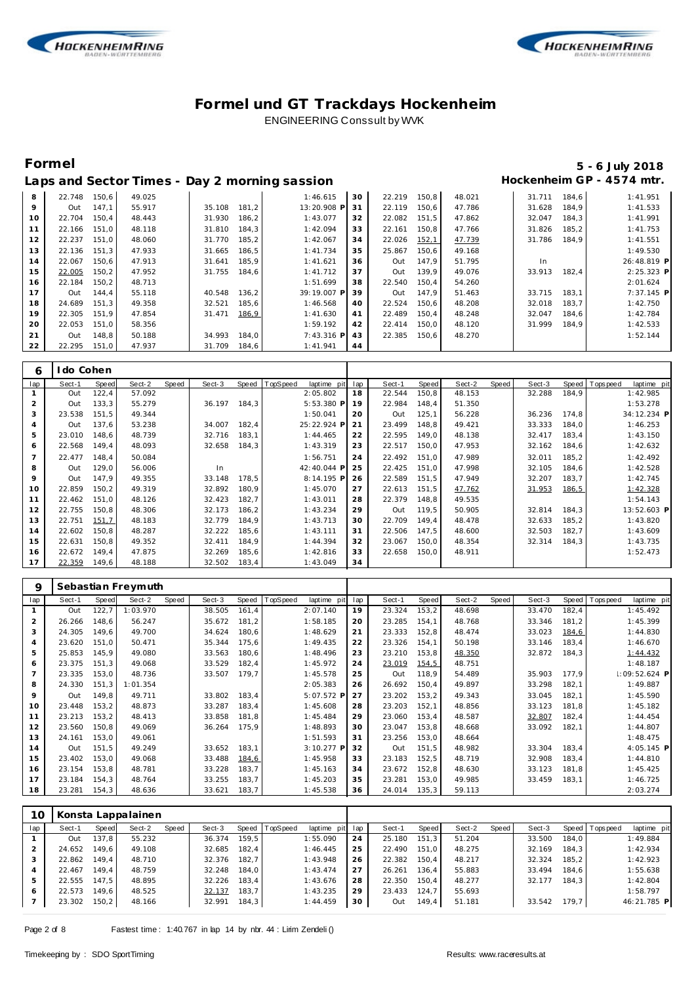



Г

### **Formel 5 - 6 July 2018** Hockenheim GP - 4574 mtr.

|  |  | Laps and Sector Times - Day 2 morning sassion |  |
|--|--|-----------------------------------------------|--|
|  |  |                                               |  |

| 8           | 22.748 | 150.6 | 49.025 |        |       | 1:46.615     | 30 | 22.219 | 150.8 | 48.021 | 31.711 | 184.6 | 1:41.951    |
|-------------|--------|-------|--------|--------|-------|--------------|----|--------|-------|--------|--------|-------|-------------|
| $\mathsf Q$ | Out    | 147.1 | 55.917 | 35.108 | 181.2 | 13:20.908 P  | 31 | 22.119 | 150.6 | 47.786 | 31.628 | 184.9 | 1:41.533    |
| 10          | 22.704 | 150,4 | 48.443 | 31.930 | 186,2 | 1:43.077     | 32 | 22.082 | 151,5 | 47.862 | 32.047 | 184,3 | 1:41.991    |
| 11          | 22.166 | 151.0 | 48.118 | 31.810 | 184,3 | 1:42.094     | 33 | 22.161 | 150,8 | 47.766 | 31.826 | 185,2 | 1:41.753    |
| 12          | 22.237 | 151.0 | 48.060 | 31.770 | 185,2 | 1:42.067     | 34 | 22.026 | 152,1 | 47.739 | 31.786 | 184.9 | 1:41.551    |
| 13          | 22.136 | 151.3 | 47.933 | 31.665 | 186,5 | 1:41.734     | 35 | 25.867 | 150.6 | 49.168 |        |       | 1:49.530    |
| 14          | 22.067 | 150.6 | 47.913 | 31.641 | 185.9 | 1:41.621     | 36 | Out    | 147.9 | 51.795 | In     |       | 26:48.819 P |
| 15          | 22.005 | 150,2 | 47.952 | 31.755 | 184.6 | 1:41.712     | 37 | Out    | 139.9 | 49.076 | 33.913 | 182.4 | 2:25.323 P  |
| 16          | 22.184 | 150,2 | 48.713 |        |       | 1:51.699     | 38 | 22.540 | 150,4 | 54.260 |        |       | 2:01.624    |
| 17          | Out    | 144,4 | 55.118 | 40.548 | 136,2 | 39:19.007 P  | 39 | Out    | 147.9 | 51.463 | 33.715 | 183.1 | 7:37.145 P  |
| 18          | 24.689 | 151.3 | 49.358 | 32.521 | 185,6 | 1:46.568     | 40 | 22.524 | 150.6 | 48.208 | 32.018 | 183.7 | 1:42.750    |
| 19          | 22.305 | 151.9 | 47.854 | 31.471 | 186,9 | 1:41.630     | 41 | 22.489 | 150.4 | 48.248 | 32.047 | 184.6 | 1:42.784    |
| 20          | 22.053 | 151,0 | 58.356 |        |       | 1:59.192     | 42 | 22.414 | 150,0 | 48.120 | 31.999 | 184.9 | 1:42.533    |
| 21          | Out    | 148.8 | 50.188 | 34.993 | 184.0 | $7:43.316$ P | 43 | 22.385 | 150.6 | 48.270 |        |       | 1:52.144    |
| 22          | 22.295 | 151,0 | 47.937 | 31.709 | 184,6 | 1:41.941     | 44 |        |       |        |        |       |             |

| 6              | I do Cohen |       |        |       |        |       |          |              |     |        |       |        |       |        |       |                 |             |  |
|----------------|------------|-------|--------|-------|--------|-------|----------|--------------|-----|--------|-------|--------|-------|--------|-------|-----------------|-------------|--|
| lap            | Sect-1     | Speed | Sect-2 | Speed | Sect-3 | Speed | TopSpeed | laptime pit  | lap | Sect-1 | Speed | Sect-2 | Speed | Sect-3 |       | Speed Tops peed | laptime pit |  |
|                | Out        | 122,4 | 57.092 |       |        |       |          | 2:05.802     | 18  | 22.544 | 150,8 | 48.153 |       | 32.288 | 184,9 |                 | 1:42.985    |  |
| 2              | Out        | 133,3 | 55.279 |       | 36.197 | 184,3 |          | $5:53.380$ P | 19  | 22.984 | 148,4 | 51.350 |       |        |       |                 | 1:53.278    |  |
| 3              | 23.538     | 151,5 | 49.344 |       |        |       |          | 1:50.041     | 20  | Out    | 125,1 | 56.228 |       | 36.236 | 174,8 |                 | 34:12.234 P |  |
| $\overline{A}$ | Out        | 137,6 | 53.238 |       | 34.007 | 182,4 |          | 25:22.924 P  | 21  | 23.499 | 148,8 | 49.421 |       | 33.333 | 184,0 |                 | 1:46.253    |  |
| 5              | 23.010     | 148,6 | 48.739 |       | 32.716 | 183,1 |          | 1:44.465     | 22  | 22.595 | 149,0 | 48.138 |       | 32.417 | 183,4 |                 | 1:43.150    |  |
| 6              | 22.568     | 149,4 | 48.093 |       | 32.658 | 184,3 |          | 1:43.319     | 23  | 22.517 | 150,0 | 47.953 |       | 32.162 | 184,6 |                 | 1:42.632    |  |
|                | 22.477     | 148,4 | 50.084 |       |        |       |          | 1:56.751     | 24  | 22.492 | 151,0 | 47.989 |       | 32.011 | 185,2 |                 | 1:42.492    |  |
| 8              | Out        | 129,0 | 56.006 |       | In     |       |          | 42:40.044 P  | 25  | 22.425 | 151,0 | 47.998 |       | 32.105 | 184,6 |                 | 1:42.528    |  |
| 9              | Out        | 147,9 | 49.355 |       | 33.148 | 178,5 |          | 8:14.195 P   | 26  | 22.589 | 151,5 | 47.949 |       | 32.207 | 183,7 |                 | 1:42.745    |  |
| 10             | 22.859     | 150,2 | 49.319 |       | 32.892 | 180,9 |          | 1:45.070     | 27  | 22.613 | 151,5 | 47.762 |       | 31.953 | 186,5 |                 | 1:42.328    |  |
| 11             | 22.462     | 151.0 | 48.126 |       | 32.423 | 182.7 |          | 1:43.011     | 28  | 22.379 | 148.8 | 49.535 |       |        |       |                 | 1:54.143    |  |
| 12             | 22.755     | 150.8 | 48.306 |       | 32.173 | 186,2 |          | 1:43.234     | 29  | Out    | 119.5 | 50.905 |       | 32.814 | 184,3 |                 | 13:52.603 P |  |
| 13             | 22.751     | 151,7 | 48.183 |       | 32.779 | 184.9 |          | 1:43.713     | 30  | 22.709 | 149.4 | 48.478 |       | 32.633 | 185,2 |                 | 1:43.820    |  |
| 14             | 22.602     | 150.8 | 48.287 |       | 32.222 | 185.6 |          | 1:43.111     | 31  | 22.506 | 147.5 | 48.600 |       | 32.503 | 182,7 |                 | 1:43.609    |  |
| 15             | 22.631     | 150.8 | 49.352 |       | 32.411 | 184.9 |          | 1:44.394     | 32  | 23.067 | 150,0 | 48.354 |       | 32.314 | 184,3 |                 | 1:43.735    |  |
| 16             | 22.672     | 149,4 | 47.875 |       | 32.269 | 185,6 |          | 1:42.816     | 33  | 22.658 | 150,0 | 48.911 |       |        |       |                 | 1:52.473    |  |
| 17             | 22.359     | 149,6 | 48.188 |       | 32.502 | 183,4 |          | 1:43.049     | 34  |        |       |        |       |        |       |                 |             |  |

| 9   |        |       | Sebastian Freymuth |       |        |       |          |                |     |        |        |        |       |        |       |          |                |  |
|-----|--------|-------|--------------------|-------|--------|-------|----------|----------------|-----|--------|--------|--------|-------|--------|-------|----------|----------------|--|
| lap | Sect-1 | Speed | Sect-2             | Speed | Sect-3 | Speed | TopSpeed | laptime<br>pit | lap | Sect-1 | Speed  | Sect-2 | Speed | Sect-3 | Speed | Topspeed | laptime pit    |  |
|     | Out    | 122,7 | 1:03.970           |       | 38.505 | 161,4 |          | 2:07.140       | 19  | 23.324 | 153,2  | 48.698 |       | 33.470 | 182,4 |          | 1:45.492       |  |
| 2   | 26.266 | 148,6 | 56.247             |       | 35.672 | 181,2 |          | 1:58.185       | 20  | 23.285 | 154,1  | 48.768 |       | 33.346 | 181,2 |          | 1:45.399       |  |
| 3   | 24.305 | 149.6 | 49.700             |       | 34.624 | 180,6 |          | 1:48.629       | 21  | 23.333 | 152,8  | 48.474 |       | 33.023 | 184,6 |          | 1:44.830       |  |
| 4   | 23.620 | 151,0 | 50.471             |       | 35.344 | 175,6 |          | 1:49.435       | 22  | 23.326 | 154,1  | 50.198 |       | 33.146 | 183,4 |          | 1:46.670       |  |
| 5   | 25.853 | 145.9 | 49.080             |       | 33.563 | 180,6 |          | 1:48.496       | 23  | 23.210 | 153,8  | 48.350 |       | 32.872 | 184,3 |          | 1:44.432       |  |
| 6   | 23.375 | 151.3 | 49.068             |       | 33.529 | 182,4 |          | 1:45.972       | 24  | 23.019 | 154,5  | 48.751 |       |        |       |          | 1:48.187       |  |
|     | 23.335 | 153,0 | 48.736             |       | 33.507 | 179,7 |          | 1:45.578       | 25  | Out    | 118,9  | 54.489 |       | 35.903 | 177,9 |          | $:09:52.624$ P |  |
| 8   | 24.330 | 151,3 | 1:01.354           |       |        |       |          | 2:05.383       | 26  | 26.692 | 150,4  | 49.897 |       | 33.298 | 182,1 |          | 1:49.887       |  |
| 9   | Out    | 149,8 | 49.711             |       | 33.802 | 183,4 |          | 5:07.572 P     | 27  | 23.202 | 153, 2 | 49.343 |       | 33.045 | 182,1 |          | 1:45.590       |  |
| 10  | 23.448 | 153,2 | 48.873             |       | 33.287 | 183,4 |          | 1:45.608       | 28  | 23.203 | 152,1  | 48.856 |       | 33.123 | 181,8 |          | 1:45.182       |  |
| 11  | 23.213 | 153,2 | 48.413             |       | 33.858 | 181,8 |          | 1:45.484       | 29  | 23.060 | 153,4  | 48.587 |       | 32.807 | 182,4 |          | 1:44.454       |  |
| 12  | 23.560 | 150,8 | 49.069             |       | 36.264 | 175,9 |          | 1:48.893       | 30  | 23.047 | 153,8  | 48.668 |       | 33.092 | 182,1 |          | 1:44.807       |  |
| 13  | 24.161 | 153.0 | 49.061             |       |        |       |          | 1:51.593       | 31  | 23.256 | 153,0  | 48.664 |       |        |       |          | 1:48.475       |  |
| 14  | Out    | 151,5 | 49.249             |       | 33.652 | 183,1 |          | 3:10.277 P     | 32  | Out    | 151,5  | 48.982 |       | 33.304 | 183,4 |          | 4:05.145 P     |  |
| 15  | 23.402 | 153,0 | 49.068             |       | 33.488 | 184,6 |          | 1:45.958       | 33  | 23.183 | 152,5  | 48.719 |       | 32.908 | 183,4 |          | 1:44.810       |  |
| 16  | 23.154 | 153,8 | 48.781             |       | 33.228 | 183,7 |          | 1:45.163       | 34  | 23.672 | 152,8  | 48.630 |       | 33.123 | 181,8 |          | 1:45.425       |  |
| 17  | 23.184 | 154,3 | 48.764             |       | 33.255 | 183,7 |          | 1:45.203       | 35  | 23.281 | 153,0  | 49.985 |       | 33.459 | 183,1 |          | 1:46.725       |  |
| 18  | 23.281 | 154,3 | 48.636             |       | 33.621 | 183,7 |          | 1:45.538       | 36  | 24.014 | 135,3  | 59.113 |       |        |       |          | 2:03.274       |  |

| 10  |        |       | Konsta Lappalainen |       |        |       |                |             |     |        |       |        |       |        |       |                |             |
|-----|--------|-------|--------------------|-------|--------|-------|----------------|-------------|-----|--------|-------|--------|-------|--------|-------|----------------|-------------|
| lap | Sect-1 | Speed | Sect-2             | Speed | Sect-3 |       | Speed TopSpeed | laptime pit | lap | Sect-1 | Speed | Sect-2 | Speed | Sect-3 |       | Speed Topspeed | laptime pit |
|     | Out    | 137,8 | 55.232             |       | 36.374 | 159.5 |                | 1:55.090    | 24  | 25.180 | 151.3 | 51.204 |       | 33.500 | 184.0 |                | 1:49.884    |
|     | 24.652 | 149.6 | 49.108             |       | 32.685 | 182.4 |                | 1:46.445    | 25  | 22.490 | 151.0 | 48.275 |       | 32.169 | 184.3 |                | 1:42.934    |
| 3   | 22.862 | 149.4 | 48.710             |       | 32.376 | 182.7 |                | 1:43.948    | 26  | 22.382 | 150,4 | 48.217 |       | 32.324 | 185,2 |                | 1:42.923    |
|     | 22.467 | 149.4 | 48.759             |       | 32.248 | 184.0 |                | 1:43.474    | 27  | 26.261 | 136.4 | 55.883 |       | 33.494 | 184.6 |                | 1:55.638    |
| 5   | 22.555 | 147.5 | 48.895             |       | 32.226 | 183.4 |                | 1:43.676    | 28  | 22.350 | 150.4 | 48.277 |       | 32.177 | 184.3 |                | 1:42.804    |
| 6   | 22.573 | 149.6 | 48.525             |       | 32.137 | 183.7 |                | 1:43.235    | 29  | 23.433 | 124.7 | 55.693 |       |        |       |                | 1:58.797    |
|     | 23.302 | 150,2 | 48.166             |       | 32.991 | 184,3 |                | 1:44.459    | 30  | Out    | 149,4 | 51.181 |       | 33.542 | 179.7 |                | 46:21.785 P |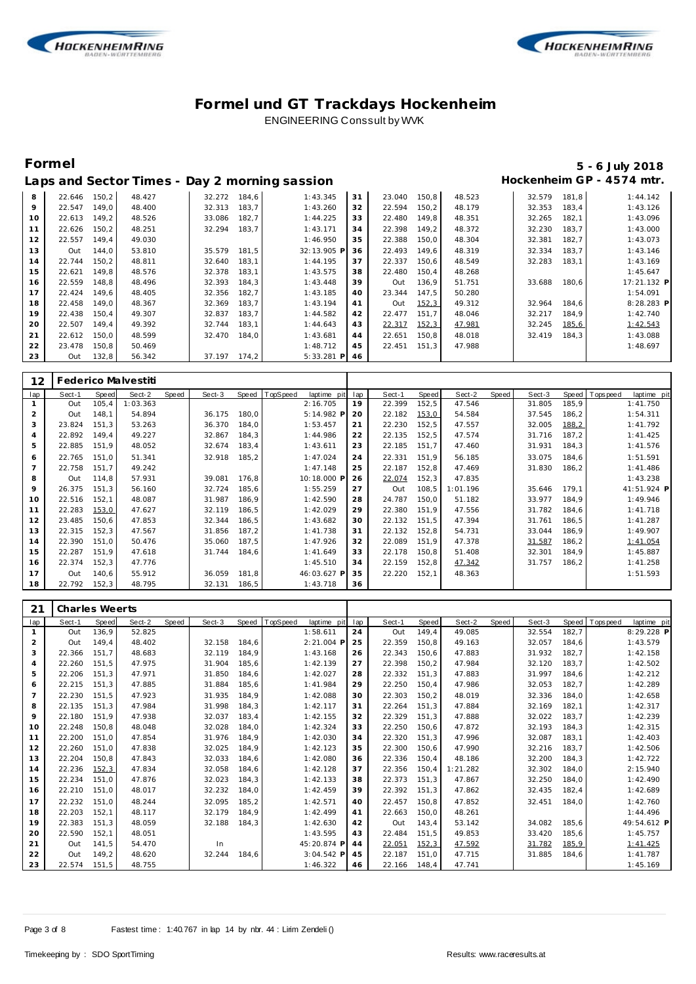



# **Formel 5 - 6 July 2018**

|    |        |       |        |        |       | Laps and Sector Times - Day 2 morning sassion |    |        |       |        |        |       | Hockenheim GP - 4574 mtr. |
|----|--------|-------|--------|--------|-------|-----------------------------------------------|----|--------|-------|--------|--------|-------|---------------------------|
| 8  | 22.646 | 150.2 | 48.427 | 32.272 | 184.6 | 1:43.345                                      | 31 | 23.040 | 150.8 | 48.523 | 32.579 | 181.8 | 1:44.142                  |
| 9  | 22.547 | 149.0 | 48.400 | 32.313 | 183,7 | 1:43.260                                      | 32 | 22.594 | 150.2 | 48.179 | 32.353 | 183.4 | 1:43.126                  |
| 10 | 22.613 | 149.2 | 48.526 | 33.086 | 182,7 | 1:44.225                                      | 33 | 22.480 | 149.8 | 48.351 | 32.265 | 182,1 | 1:43.096                  |
| 11 | 22.626 | 150.2 | 48.251 | 32.294 | 183.7 | 1:43.171                                      | 34 | 22.398 | 149.2 | 48.372 | 32.230 | 183.7 | 1:43.000                  |
| 12 | 22.557 | 149.4 | 49.030 |        |       | 1:46.950                                      | 35 | 22.388 | 150.0 | 48.304 | 32.381 | 182.7 | 1:43.073                  |
| 13 | Out    | 144.0 | 53.810 | 35.579 | 181.5 | 32:13.905 P                                   | 36 | 22.493 | 149.6 | 48.319 | 32.334 | 183.7 | 1:43.146                  |
| 14 | 22.744 | 150.2 | 48.811 | 32.640 | 183.1 | 1:44.195                                      | 37 | 22.337 | 150.6 | 48.549 | 32.283 | 183.1 | 1:43.169                  |
| 15 | 22.621 | 149.8 | 48.576 | 32.378 | 183.1 | 1:43.575                                      | 38 | 22.480 | 150.4 | 48.268 |        |       | 1:45.647                  |
| 16 | 22.559 | 148.8 | 48.496 | 32.393 | 184.3 | 1:43.448                                      | 39 | Out    | 136.9 | 51.751 | 33.688 | 180.6 | 17:21.132 P               |
| 17 | 22.424 | 149.6 | 48.405 | 32.356 | 182.7 | 1:43.185                                      | 40 | 23.344 | 147.5 | 50.280 |        |       | 1:54.091                  |
| 18 | 22.458 | 149.0 | 48.367 | 32.369 | 183,7 | 1:43.194                                      | 41 | Out    | 152,3 | 49.312 | 32.964 | 184.6 | 8:28.283 P                |
| 19 | 22.438 | 150,4 | 49.307 | 32.837 | 183,7 | 1:44.582                                      | 42 | 22.477 | 151.7 | 48.046 | 32.217 | 184,9 | 1:42.740                  |
| 20 | 22.507 | 149.4 | 49.392 | 32.744 | 183,1 | 1:44.643                                      | 43 | 22.317 | 152,3 | 47.981 | 32.245 | 185,6 | 1:42.543                  |
| 21 | 22.612 | 150.0 | 48.599 | 32.470 | 184.0 | 1:43.681                                      | 44 | 22.651 | 150.8 | 48.018 | 32.419 | 184.3 | 1:43.088                  |
| 22 | 23.478 | 150,8 | 50.469 |        |       | 1:48.712                                      | 45 | 22.451 | 151,3 | 47.988 |        |       | 1:48.697                  |
| 23 | Out    | 132,8 | 56.342 | 37.197 | 174.2 | $5:33.281$ P                                  | 46 |        |       |        |        |       |                           |

| 12             |        |        | Federico Malvestiti |       |        |       |          |             |     |        |       |          |       |        |       |                |             |
|----------------|--------|--------|---------------------|-------|--------|-------|----------|-------------|-----|--------|-------|----------|-------|--------|-------|----------------|-------------|
| lap            | Sect-1 | Speed  | Sect-2              | Speed | Sect-3 | Speed | TopSpeed | laptime pit | lap | Sect-1 | Speed | Sect-2   | Speed | Sect-3 |       | Speed Topspeed | laptime pit |
|                | Out    | 105, 4 | 1:03.363            |       |        |       |          | 2:16.705    | 19  | 22.399 | 152,5 | 47.546   |       | 31.805 | 185,9 |                | 1:41.750    |
| 2              | Out    | 148.1  | 54.894              |       | 36.175 | 180,0 |          | 5:14.982 P  | -20 | 22.182 | 153,0 | 54.584   |       | 37.545 | 186,2 |                | 1:54.311    |
| 3              | 23.824 | 151,3  | 53.263              |       | 36.370 | 184,0 |          | 1:53.457    | 21  | 22.230 | 152,5 | 47.557   |       | 32.005 | 188,2 |                | 1:41.792    |
| $\overline{4}$ | 22.892 | 149.4  | 49.227              |       | 32.867 | 184,3 |          | 1:44.986    | 22  | 22.135 | 152,5 | 47.574   |       | 31.716 | 187,2 |                | 1:41.425    |
| 5              | 22.885 | 151,9  | 48.052              |       | 32.674 | 183,4 |          | 1:43.611    | 23  | 22.185 | 151,7 | 47.460   |       | 31.931 | 184,3 |                | 1:41.576    |
| 6              | 22.765 | 151.0  | 51.341              |       | 32.918 | 185,2 |          | 1:47.024    | 24  | 22.331 | 151.9 | 56.185   |       | 33.075 | 184.6 |                | 1:51.591    |
|                | 22.758 | 151,7  | 49.242              |       |        |       |          | 1:47.148    | 25  | 22.187 | 152,8 | 47.469   |       | 31.830 | 186,2 |                | 1:41.486    |
| 8              | Out    | 114,8  | 57.931              |       | 39.081 | 176,8 |          | 10:18.000 P | 26  | 22.074 | 152,3 | 47.835   |       |        |       |                | 1:43.238    |
| 9              | 26.375 | 151,3  | 56.160              |       | 32.724 | 185,6 |          | 1:55.259    | 27  | Out    | 108,5 | 1:01.196 |       | 35.646 | 179.1 |                | 41:51.924 P |
| 10             | 22.516 | 152,1  | 48.087              |       | 31.987 | 186,9 |          | 1:42.590    | 28  | 24.787 | 150,0 | 51.182   |       | 33.977 | 184,9 |                | 1:49.946    |
| 11             | 22.283 | 153,0  | 47.627              |       | 32.119 | 186,5 |          | 1:42.029    | 29  | 22.380 | 151,9 | 47.556   |       | 31.782 | 184,6 |                | 1:41.718    |
| 12             | 23.485 | 150,6  | 47.853              |       | 32.344 | 186,5 |          | 1:43.682    | 30  | 22.132 | 151,5 | 47.394   |       | 31.761 | 186,5 |                | 1:41.287    |
| 13             | 22.315 | 152,3  | 47.567              |       | 31.856 | 187,2 |          | 1:41.738    | 31  | 22.132 | 152,8 | 54.731   |       | 33.044 | 186,9 |                | 1:49.907    |
| 14             | 22.390 | 151.0  | 50.476              |       | 35.060 | 187.5 |          | 1:47.926    | 32  | 22.089 | 151.9 | 47.378   |       | 31.587 | 186,2 |                | 1:41.054    |
| 15             | 22.287 | 151,9  | 47.618              |       | 31.744 | 184,6 |          | 1:41.649    | 33  | 22.178 | 150,8 | 51.408   |       | 32.301 | 184,9 |                | 1:45.887    |
| 16             | 22.374 | 152,3  | 47.776              |       |        |       |          | 1:45.510    | 34  | 22.159 | 152,8 | 47.342   |       | 31.757 | 186,2 |                | 1:41.258    |
| 17             | Out    | 140,6  | 55.912              |       | 36.059 | 181,8 |          | 46:03.627 P | 35  | 22.220 | 152,1 | 48.363   |       |        |       |                | 1:51.593    |
| 18             | 22.792 | 152,3  | 48.795              |       | 32.131 | 186,5 |          | 1:43.718    | 36  |        |       |          |       |        |       |                |             |

| 21  | <b>Charles Weerts</b> |       |        |       |        |       |          |             |     |        |       |          |       |        |       |           |             |
|-----|-----------------------|-------|--------|-------|--------|-------|----------|-------------|-----|--------|-------|----------|-------|--------|-------|-----------|-------------|
| lap | Sect-1                | Speed | Sect-2 | Speed | Sect-3 | Speed | TopSpeed | laptime pit | lap | Sect-1 | Speed | Sect-2   | Speed | Sect-3 | Speed | Tops peed | laptime pit |
|     | Out                   | 136,9 | 52.825 |       |        |       |          | 1:58.611    | 24  | Out    | 149,4 | 49.085   |       | 32.554 | 182,7 |           | 8:29.228 P  |
| 2   | Out                   | 149.4 | 48.402 |       | 32.158 | 184,6 |          | 2:21.004 P  | 25  | 22.359 | 150,8 | 49.163   |       | 32.057 | 184,6 |           | 1:43.579    |
| 3   | 22.366                | 151.7 | 48.683 |       | 32.119 | 184,9 |          | 1:43.168    | 26  | 22.343 | 150,6 | 47.883   |       | 31.932 | 182,7 |           | 1:42.158    |
| 4   | 22.260                | 151.5 | 47.975 |       | 31.904 | 185.6 |          | 1:42.139    | 27  | 22.398 | 150,2 | 47.984   |       | 32.120 | 183.7 |           | 1:42.502    |
| 5   | 22.206                | 151,3 | 47.971 |       | 31.850 | 184,6 |          | 1:42.027    | 28  | 22.332 | 151,3 | 47.883   |       | 31.997 | 184,6 |           | 1:42.212    |
| 6   | 22.215                | 151,3 | 47.885 |       | 31.884 | 185,6 |          | 1:41.984    | 29  | 22.250 | 150,4 | 47.986   |       | 32.053 | 182,7 |           | 1:42.289    |
| 7   | 22.230                | 151.5 | 47.923 |       | 31.935 | 184.9 |          | 1:42.088    | 30  | 22.303 | 150,2 | 48.019   |       | 32.336 | 184.0 |           | 1:42.658    |
| 8   | 22.135                | 151.3 | 47.984 |       | 31.998 | 184.3 |          | 1:42.117    | 31  | 22.264 | 151.3 | 47.884   |       | 32.169 | 182,1 |           | 1:42.317    |
| 9   | 22.180                | 151,9 | 47.938 |       | 32.037 | 183,4 |          | 1:42.155    | 32  | 22.329 | 151,3 | 47.888   |       | 32.022 | 183,7 |           | 1:42.239    |
| 10  | 22.248                | 150.8 | 48.048 |       | 32.028 | 184,0 |          | 1:42.324    | 33  | 22.250 | 150,6 | 47.872   |       | 32.193 | 184,3 |           | 1:42.315    |
| 11  | 22.200                | 151.0 | 47.854 |       | 31.976 | 184.9 |          | 1:42.030    | 34  | 22.320 | 151.3 | 47.996   |       | 32.087 | 183,1 |           | 1:42.403    |
| 12  | 22.260                | 151.0 | 47.838 |       | 32.025 | 184.9 |          | 1:42.123    | 35  | 22.300 | 150.6 | 47.990   |       | 32.216 | 183.7 |           | 1:42.506    |
| 13  | 22.204                | 150.8 | 47.843 |       | 32.033 | 184,6 |          | 1:42.080    | 36  | 22.336 | 150,4 | 48.186   |       | 32.200 | 184,3 |           | 1:42.722    |
| 14  | 22.236                | 152,3 | 47.834 |       | 32.058 | 184,6 |          | 1:42.128    | 37  | 22.356 | 150,4 | 1:21.282 |       | 32.302 | 184,0 |           | 2:15.940    |
| 15  | 22.234                | 151.0 | 47.876 |       | 32.023 | 184,3 |          | 1:42.133    | 38  | 22.373 | 151,3 | 47.867   |       | 32.250 | 184,0 |           | 1:42.490    |
| 16  | 22.210                | 151.0 | 48.017 |       | 32.232 | 184.0 |          | 1:42.459    | 39  | 22.392 | 151.3 | 47.862   |       | 32.435 | 182,4 |           | 1:42.689    |
| 17  | 22.232                | 151,0 | 48.244 |       | 32.095 | 185,2 |          | 1:42.571    | 40  | 22.457 | 150,8 | 47.852   |       | 32.451 | 184,0 |           | 1:42.760    |
| 18  | 22.203                | 152.1 | 48.117 |       | 32.179 | 184.9 |          | 1:42.499    | 41  | 22.663 | 150.0 | 48.261   |       |        |       |           | 1:44.496    |
| 19  | 22.383                | 151.3 | 48.059 |       | 32.188 | 184.3 |          | 1:42.630    | 42  | Out    | 143,4 | 53.142   |       | 34.082 | 185.6 |           | 49:54.612 P |
| 20  | 22.590                | 152.1 | 48.051 |       |        |       |          | 1:43.595    | 43  | 22.484 | 151.5 | 49.853   |       | 33.420 | 185,6 |           | 1:45.757    |
| 21  | Out                   | 141,5 | 54.470 |       | In     |       |          | 45:20.874 P | 44  | 22.051 | 152,3 | 47.592   |       | 31.782 | 185,9 |           | 1:41.425    |
| 22  | Out                   | 149.2 | 48.620 |       | 32.244 | 184.6 |          | 3:04.542 P  | 45  | 22.187 | 151.0 | 47.715   |       | 31.885 | 184,6 |           | 1:41.787    |
| 23  | 22.574                | 151,5 | 48.755 |       |        |       |          | 1:46.322    | 46  | 22.166 | 148.4 | 47.741   |       |        |       |           | 1:45.169    |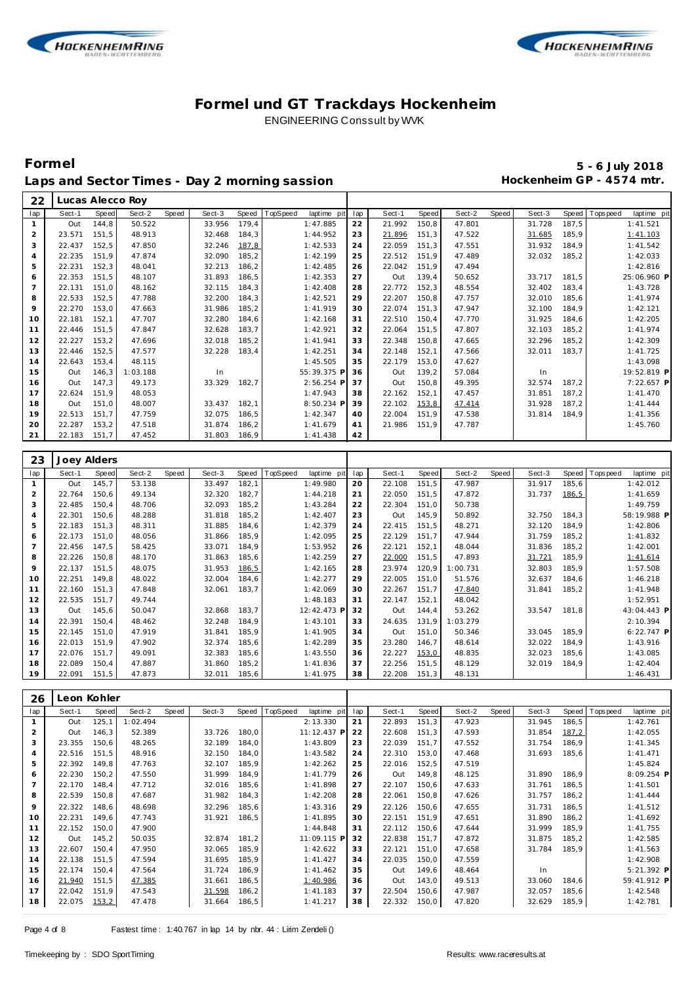

 **Lucas Alecco Roy**



### **Formel und GT Trackdays Hockenheim** ENGINEERING Conssult by WVK

lap Sect-1 Speed Sect-2 Speed Sect-3 Speed TopSpeed laptime pit lap Sect-1 Speed Sect-2 Speed Sect-3 Speed Topspeed laptime pit

# **Formel 5 - 6 July 2018** Laps and Sector Times - Day 2 morning sassion

| 1                   | Out           | 144,8          | 50.522   |       | 33.956       | 179,4 | 1:47.885                | 22        | 21.992           | 150,8          | 47.801   |       | 31.728 | 187,5          | 1:41.521                               |
|---------------------|---------------|----------------|----------|-------|--------------|-------|-------------------------|-----------|------------------|----------------|----------|-------|--------|----------------|----------------------------------------|
| $\overline{c}$      | 23.571        | 151,5          | 48.913   |       | 32.468       | 184,3 | 1:44.952                | 23        | 21.896           | 151,3          | 47.522   |       | 31.685 | 185,9          | 1:41.103                               |
| 3                   | 22.437        | 152,5          | 47.850   |       | 32.246       | 187,8 | 1:42.533                | 24        | 22.059           | 151,3          | 47.551   |       | 31.932 | 184,9          | 1:41.542                               |
| 4                   | 22.235        | 151,9          | 47.874   |       | 32.090       | 185,2 | 1:42.199                | 25        | 22.512           | 151,9          | 47.489   |       | 32.032 | 185,2          | 1:42.033                               |
| 5                   | 22.231        | 152,3          | 48.041   |       | 32.213       | 186,2 | 1:42.485                | 26        | 22.042           | 151,9          | 47.494   |       |        |                | 1:42.816                               |
| 6                   | 22.353        | 151,5          | 48.107   |       | 31.893       | 186,5 | 1:42.353                | 27        | Out              | 139,4          | 50.652   |       | 33.717 | 181,5          | 25:06.960 P                            |
| 7                   | 22.131        | 151,0          | 48.162   |       | 32.115       | 184,3 | 1:42.408                | 28        | 22.772           | 152,3          | 48.554   |       | 32.402 | 183,4          | 1:43.728                               |
| 8                   | 22.533        | 152,5          | 47.788   |       | 32.200       | 184,3 | 1:42.521                | 29        | 22.207           | 150,8          | 47.757   |       | 32.010 | 185,6          | 1:41.974                               |
| 9                   | 22.270        | 153,0          | 47.663   |       | 31.986       | 185,2 | 1:41.919                | 30        | 22.074           | 151,3          | 47.947   |       | 32.100 | 184,9          | 1:42.121                               |
| 10                  | 22.181        | 152,1          | 47.707   |       | 32.280       | 184,6 | 1:42.168                | 31        | 22.510           | 150,4          | 47.770   |       | 31.925 | 184,6          | 1:42.205                               |
| 11                  | 22.446        | 151,5          | 47.847   |       | 32.628       | 183,7 | 1:42.921                | 32        | 22.064           | 151,5          | 47.807   |       | 32.103 | 185,2          | 1:41.974                               |
| 12                  | 22.227        | 153,2          | 47.696   |       | 32.018       | 185,2 | 1:41.941                | 33        | 22.348           | 150,8          | 47.665   |       | 32.296 | 185,2          | 1:42.309                               |
| 13                  | 22.446        | 152,5          | 47.577   |       | 32.228       | 183,4 | 1:42.251                | 34        | 22.148           | 152,1          | 47.566   |       | 32.011 | 183,7          | 1:41.725                               |
| 14                  | 22.643        | 153,4          | 48.115   |       |              |       | 1:45.505                | 35        | 22.179           | 153,0          | 47.627   |       |        |                | 1:43.098                               |
| 15                  | Out           | 146,3          | 1:03.188 |       | In           |       | 55:39.375 P             | 36        | Out              | 139,2          | 57.084   |       | In     |                | 19:52.819 P                            |
| 16                  | Out           | 147,3          | 49.173   |       | 33.329       | 182,7 | 2:56.254 P              | 37        | Out              | 150,8          | 49.395   |       | 32.574 | 187,2          | 7:22.657 P                             |
| 17                  | 22.624        | 151,9          | 48.053   |       |              |       | 1:47.943                | 38        | 22.162           | 152,1          | 47.457   |       | 31.851 | 187,2          | 1:41.470                               |
| 18                  | Out           | 151,0          | 48.007   |       | 33.437       | 182,1 | 8:50.234 P              | 39        | 22.102           | 153,8          | 47.414   |       | 31.928 | 187,2          | 1:41.444                               |
| 19                  | 22.513        | 151,7          | 47.759   |       | 32.075       | 186,5 | 1:42.347                | 40        | 22.004           | 151,9          | 47.538   |       | 31.814 | 184,9          | 1:41.356                               |
| 20                  | 22.287        | 153,2          | 47.518   |       | 31.874       | 186,2 | 1:41.679                | 41        | 21.986           | 151,9          | 47.787   |       |        |                | 1:45.760                               |
| 21                  | 22.183        | 151,7          | 47.452   |       | 31.803       | 186,9 | 1:41.438                | 42        |                  |                |          |       |        |                |                                        |
|                     |               |                |          |       |              |       |                         |           |                  |                |          |       |        |                |                                        |
|                     |               |                |          |       |              |       |                         |           |                  |                |          |       |        |                |                                        |
| 23                  | Joey Alders   |                |          |       |              |       |                         |           |                  |                |          |       |        |                |                                        |
| lap                 | Sect-1        | Speed          | Sect-2   | Speed | Sect-3       | Speed | TopSpeed<br>laptime pit | lap       | Sect-1           | Speed          | Sect-2   | Speed | Sect-3 | Speed          | T ops pee d<br>laptime pit             |
| $\mathbf{1}$        | Out           | 145,7          | 53.138   |       | 33.497       | 182,1 | 1:49.980                | 20        | 22.108           | 151,5          | 47.987   |       | 31.917 | 185,6          | 1:42.012                               |
| $\overline{c}$      | 22.764        | 150,6          | 49.134   |       | 32.320       | 182,7 | 1:44.218                | 21        | 22.050           | 151,5          | 47.872   |       | 31.737 | 186,5          | 1:41.659                               |
| 3                   | 22.485        | 150,4          | 48.706   |       | 32.093       | 185,2 | 1:43.284                | 22        | 22.304           | 151,0          | 50.738   |       |        |                | 1:49.759                               |
| 4                   | 22.301        | 150,6          | 48.288   |       | 31.818       | 185,2 | 1:42.407                | 23        | Out              | 145,9          | 50.892   |       | 32.750 | 184,3          | 58:19.988 P                            |
| 5                   | 22.183        | 151,3          | 48.311   |       | 31.885       | 184,6 | 1:42.379                | 24        | 22.415           | 151,5          | 48.271   |       | 32.120 | 184,9          | 1:42.806                               |
| 6                   | 22.173        | 151,0          | 48.056   |       | 31.866       | 185,9 | 1:42.095                | 25        | 22.129           | 151,7          | 47.944   |       | 31.759 | 185,2          | 1:41.832                               |
| 7                   | 22.456        | 147,5          | 58.425   |       | 33.071       | 184,9 | 1:53.952                | 26        | 22.121           | 152,1          | 48.044   |       | 31.836 | 185,2          | 1:42.001                               |
| 8                   | 22.226        | 150,8          | 48.170   |       | 31.863       | 185,6 | 1:42.259                | 27        | 22.000           | 151,5          | 47.893   |       | 31.721 | 185,9          | 1:41.614                               |
| 9                   | 22.137        | 151,5          | 48.075   |       | 31.953       | 186,5 | 1:42.165                | 28        | 23.974           | 120,9          | 1:00.731 |       | 32.803 | 185,9          | 1:57.508                               |
| 10                  | 22.251        | 149,8          | 48.022   |       | 32.004       | 184,6 | 1:42.277                | 29        | 22.005           | 151,0          | 51.576   |       | 32.637 | 184,6          | 1:46.218                               |
| 11                  | 22.160        | 151,3          | 47.848   |       | 32.061       | 183,7 | 1:42.069                | 30        | 22.267           | 151,7          | 47.840   |       | 31.841 | 185,2          | 1:41.948                               |
| 12                  | 22.535        | 151,7          | 49.744   |       |              |       | 1:48.183                | 31        | 22.147           | 152,1          | 48.042   |       |        |                | 1:52.951                               |
| 13                  | Out           | 145,6          | 50.047   |       | 32.868       | 183,7 | 12:42.473 P             | 32        | Out              | 144,4          | 53.262   |       | 33.547 | 181,8          | 43:04.443 P                            |
| 14                  | 22.391        | 150,4          | 48.462   |       | 32.248       | 184,9 | 1:43.101                | 33        | 24.635           | 131,9          | 1:03.279 |       |        |                | 2:10.394                               |
| 15                  | 22.145        | 151,0          | 47.919   |       | 31.841       | 185,9 | 1:41.905                | 34        | Out              | 151,0          | 50.346   |       | 33.045 | 185,9          | 6:22.747 P                             |
| 16                  | 22.013        | 151,9          | 47.902   |       | 32.374       | 185,6 | 1:42.289                | 35        | 23.280           | 146,7          | 48.614   |       | 32.022 | 184,9          | 1:43.916                               |
| 17                  | 22.076        | 151,7          | 49.091   |       | 32.383       | 185,6 | 1:43.550                | 36        | 22.227           | 153,0          | 48.835   |       | 32.023 | 185,6          | 1:43.085                               |
| 18                  | 22.089        | 150,4          | 47.887   |       | 31.860       | 185,2 | 1:41.836                | 37        | 22.256           | 151,5          | 48.129   |       | 32.019 | 184,9          | 1:42.404                               |
| 19                  | 22.091        | 151,5          | 47.873   |       | 32.011       | 185,6 | 1:41.975                | 38        | 22.208           | 151,3          | 48.131   |       |        |                | 1:46.431                               |
|                     |               |                |          |       |              |       |                         |           |                  |                |          |       |        |                |                                        |
| 26                  | Leon Kohler   |                |          |       |              |       |                         |           |                  |                |          |       |        |                |                                        |
|                     |               |                | Sect-2   |       | Sect-3       |       | TopSpeed                |           |                  |                | Sect-2   |       | Sect-3 |                |                                        |
| lap<br>$\mathbf{1}$ | Sect-1<br>Out | Speed<br>125,1 | 1:02.494 | Speed |              | Speed | laptime pit<br>2:13.330 | lap<br>21 | Sect-1<br>22.893 | Speed<br>151,3 | 47.923   | Speed | 31.945 | Speed<br>186,5 | T ops pee d<br>laptime pit<br>1:42.761 |
| 2                   | Out           | 146,3          | 52.389   |       | 33.726       | 180,0 | 11:12.437 P             | 22        | 22.608           | 151,3          | 47.593   |       | 31.854 | 187,2          | 1:42.055                               |
| 3                   |               |                |          |       |              |       |                         |           |                  |                |          |       |        |                |                                        |
|                     |               |                |          |       |              |       |                         |           |                  |                |          |       |        |                |                                        |
|                     | 23.355        | 150,6          | 48.265   |       | 32.189 184,0 |       | 1:43.809                | 23        | 22.039           | 151,7          | 47.552   |       | 31.754 | 186,9          | 1: 41.345                              |
| 4                   | 22.516 151,5  |                | 48.916   |       | 32.150       | 184,0 | 1:43.582                | 24        | 22.310           | 153,0          | 47.468   |       | 31.693 | 185,6          | 1:41.471                               |
| 5                   | 22.392        | 149,8          | 47.763   |       | 32.107       | 185,9 | 1:42.262                | 25        | 22.016           | 152,5          | 47.519   |       |        |                | 1:45.824                               |
| 6                   | 22.230        | 150,2          | 47.550   |       | 31.999       | 184,9 | 1:41.779                | 26        | Out              | 149,8          | 48.125   |       | 31.890 | 186,9          |                                        |
| 7                   | 22.170        | 148,4          | 47.712   |       | 32.016       | 185,6 | 1:41.898                | 27        | 22.107           | 150,6          | 47.633   |       | 31.761 | 186,5          | 1:41.501                               |
| 8                   | 22.539        | 150,8          | 47.687   |       | 31.982       | 184,3 | 1:42.208                | 28        | 22.061           | 150,8          | 47.626   |       | 31.757 | 186,2          | 1:41.444                               |
| 9                   | 22.322        | 148,6          | 48.698   |       | 32.296       | 185,6 | 1:43.316                | 29        | 22.126           | 150,6          | 47.655   |       | 31.731 | 186,5          | 8:09.254 P<br>1:41.512                 |
| 10                  | 22.231        | 149,6          | 47.743   |       | 31.921       | 186,5 | 1:41.895                | 30        | 22.151           | 151,9          | 47.651   |       | 31.890 | 186,2          | 1:41.692                               |
| 11                  | 22.152        | 150,0          | 47.900   |       |              |       | 1:44.848                | 31        | 22.112           | 150,6          | 47.644   |       | 31.999 | 185,9          | 1:41.755                               |
| 12                  | Out           | 145,2          | 50.035   |       | 32.874       | 181,2 | 11:09.115 P             | 32        | 22.838           | 151,7          | 47.872   |       | 31.875 | 185,2          | 1:42.585                               |
| 13                  | 22.607        | 150,4          | 47.950   |       | 32.065       | 185,9 | 1:42.622                | 33        | 22.121           | 151,0          | 47.658   |       | 31.784 | 185,9          | 1:41.563                               |
| 14                  | 22.138        | 151,5          | 47.594   |       | 31.695       | 185,9 | 1:41.427                | 34        | 22.035           | 150,0          | 47.559   |       |        |                | 1:42.908                               |
| 15                  | 22.174        | 150,4          | 47.564   |       | 31.724       | 186,9 | 1:41.462                | 35        | Out              | 149,6          | 48.464   |       | In     |                |                                        |
| 16                  | 21.940        | 151,5          | 47.385   |       | 31.661       | 186,5 | 1:40.986                | 36        | Out              | 143,0          | 49.513   |       | 33.060 | 184,6          |                                        |
| 17                  | 22.042        | 151,9          | 47.543   |       | 31.598       | 186,2 | 1:41.183                | 37        | 22.504           | 150,6          | 47.987   |       | 32.057 | 185,6          | 1:42.548                               |
| 18                  | 22.075        | 153,2          | 47.478   |       | 31.664       | 186,5 | 1:41.217                | 38        | 22.332           | 150,0          | 47.820   |       | 32.629 | 185,9          | 5:21.392 P<br>59:41.912 P<br>1:42.781  |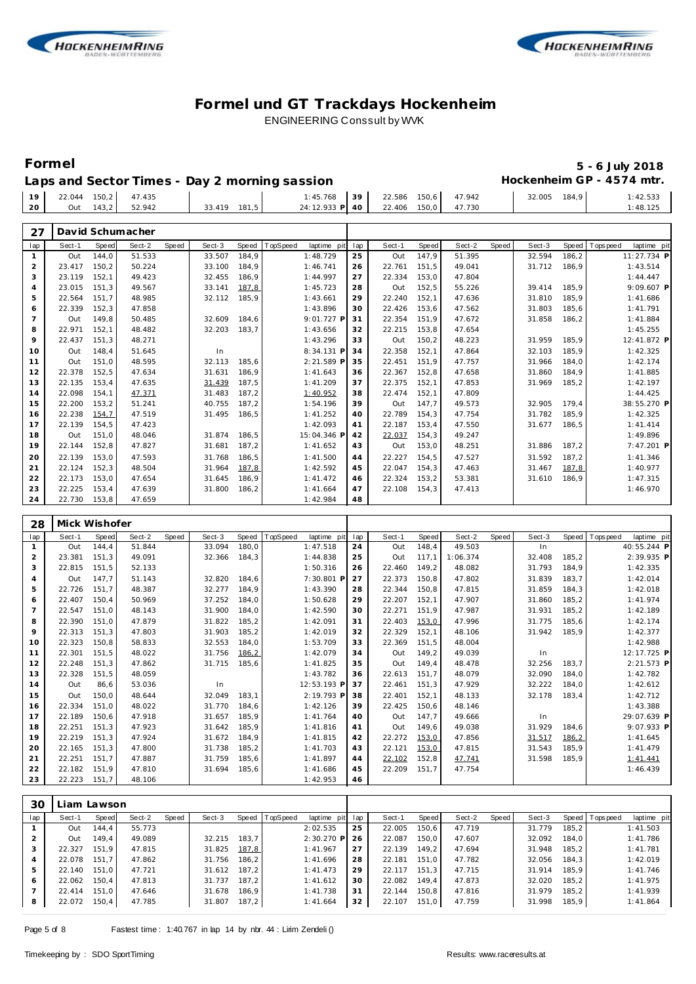



### **Formel 5 - 6 July 2018** Hockenheim GP - 4574 mtr.

|  | Laps and Sector Times - Day 2 morning sassion |
|--|-----------------------------------------------|
|--|-----------------------------------------------|

|    | $19$ 22.044 150,2 47.435 |           |        |              | $1:45.768$ 39                      |  | 22.586 150,6 47.942 | 32.005 | 184.9 | :42.533  |
|----|--------------------------|-----------|--------|--------------|------------------------------------|--|---------------------|--------|-------|----------|
| 20 |                          | Out 143,2 | 52.942 | 33.419 181.5 | 24:12.933 P 40 22.406 150,0 47.730 |  |                     |        |       | 1:48.125 |
|    |                          |           |        |              |                                    |  |                     |        |       |          |

| 27             |        |       | David Schumacher |       |        |       |          |             |     |        |       |        |       |        |       |                |             |  |
|----------------|--------|-------|------------------|-------|--------|-------|----------|-------------|-----|--------|-------|--------|-------|--------|-------|----------------|-------------|--|
| lap            | Sect-1 | Speed | Sect-2           | Speed | Sect-3 | Speed | TopSpeed | laptime pit | lap | Sect-1 | Speed | Sect-2 | Speed | Sect-3 |       | Speed Topspeed | laptime pit |  |
| $\mathbf{1}$   | Out    | 144.0 | 51.533           |       | 33.507 | 184.9 |          | 1:48.729    | 25  | Out    | 147,9 | 51.395 |       | 32.594 | 186,2 |                | 11:27.734 P |  |
| 2              | 23.417 | 150.2 | 50.224           |       | 33.100 | 184.9 |          | 1:46.741    | 26  | 22.761 | 151.5 | 49.041 |       | 31.712 | 186.9 |                | 1:43.514    |  |
| 3              | 23.119 | 152,1 | 49.423           |       | 32.455 | 186,9 |          | 1:44.997    | 27  | 22.334 | 153,0 | 47.804 |       |        |       |                | 1:44.447    |  |
| $\overline{4}$ | 23.015 | 151.3 | 49.567           |       | 33.141 | 187,8 |          | 1:45.723    | 28  | Out    | 152,5 | 55.226 |       | 39.414 | 185.9 |                | 9:09.607 P  |  |
| 5              | 22.564 | 151,7 | 48.985           |       | 32.112 | 185,9 |          | 1:43.661    | 29  | 22.240 | 152,1 | 47.636 |       | 31.810 | 185,9 |                | 1:41.686    |  |
| 6              | 22.339 | 152,3 | 47.858           |       |        |       |          | 1:43.896    | 30  | 22.426 | 153,6 | 47.562 |       | 31.803 | 185,6 |                | 1:41.791    |  |
| $\overline{7}$ | Out    | 149.8 | 50.485           |       | 32.609 | 184.6 |          | 9:01.727 P  | 31  | 22.354 | 151.9 | 47.672 |       | 31.858 | 186,2 |                | 1:41.884    |  |
| 8              | 22.971 | 152,1 | 48.482           |       | 32.203 | 183,7 |          | 1:43.656    | 32  | 22.215 | 153,8 | 47.654 |       |        |       |                | 1:45.255    |  |
| 9              | 22.437 | 151,3 | 48.271           |       |        |       |          | 1:43.296    | 33  | Out    | 150,2 | 48.223 |       | 31.959 | 185,9 |                | 12:41.872 P |  |
| 10             | Out    | 148.4 | 51.645           |       | In     |       |          | 8:34.131 P  | 34  | 22.358 | 152,1 | 47.864 |       | 32.103 | 185,9 |                | 1:42.325    |  |
| 11             | Out    | 151.0 | 48.595           |       | 32.113 | 185.6 |          | 2:21.589 P  | 35  | 22.451 | 151.9 | 47.757 |       | 31.966 | 184.0 |                | 1:42.174    |  |
| 12             | 22.378 | 152,5 | 47.634           |       | 31.631 | 186.9 |          | 1:41.643    | 36  | 22.367 | 152,8 | 47.658 |       | 31.860 | 184.9 |                | 1:41.885    |  |
| 13             | 22.135 | 153,4 | 47.635           |       | 31.439 | 187.5 |          | 1:41.209    | 37  | 22.375 | 152,1 | 47.853 |       | 31.969 | 185,2 |                | 1:42.197    |  |
| 14             | 22.098 | 154,1 | 47.371           |       | 31.483 | 187,2 |          | 1:40.952    | 38  | 22.474 | 152,1 | 47.809 |       |        |       |                | 1:44.425    |  |
| 15             | 22.200 | 153,2 | 51.241           |       | 40.755 | 187.2 |          | 1:54.196    | 39  | Out    | 147.7 | 49.573 |       | 32.905 | 179.4 |                | 38:55.270 P |  |
| 16             | 22.238 | 154,7 | 47.519           |       | 31.495 | 186,5 |          | 1:41.252    | 40  | 22.789 | 154,3 | 47.754 |       | 31.782 | 185,9 |                | 1:42.325    |  |
| 17             | 22.139 | 154.5 | 47.423           |       |        |       |          | 1:42.093    | 41  | 22.187 | 153,4 | 47.550 |       | 31.677 | 186,5 |                | 1:41.414    |  |
| 18             | Out    | 151.0 | 48.046           |       | 31.874 | 186.5 |          | 15:04.346 P | 42  | 22.037 | 154,3 | 49.247 |       |        |       |                | 1:49.896    |  |
| 19             | 22.144 | 152,8 | 47.827           |       | 31.681 | 187,2 |          | 1:41.652    | 43  | Out    | 153,0 | 48.251 |       | 31.886 | 187,2 |                | 7:47.201 P  |  |
| 20             | 22.139 | 153.0 | 47.593           |       | 31.768 | 186.5 |          | 1:41.500    | 44  | 22.227 | 154.5 | 47.527 |       | 31.592 | 187.2 |                | 1:41.346    |  |
| 21             | 22.124 | 152,3 | 48.504           |       | 31.964 | 187,8 |          | 1:42.592    | 45  | 22.047 | 154,3 | 47.463 |       | 31.467 | 187,8 |                | 1:40.977    |  |
| 22             | 22.173 | 153,0 | 47.654           |       | 31.645 | 186.9 |          | 1:41.472    | 46  | 22.324 | 153,2 | 53.381 |       | 31.610 | 186.9 |                | 1:47.315    |  |
| 23             | 22.225 | 153,4 | 47.639           |       | 31.800 | 186,2 |          | 1:41.664    | 47  | 22.108 | 154,3 | 47.413 |       |        |       |                | 1:46.970    |  |
| 24             | 22.730 | 153.8 | 47.659           |       |        |       |          | 1:42.984    | 48  |        |       |        |       |        |       |                |             |  |

| 28  | Mick Wishofer |       |        |       |        |       |          |             |     |        |       |          |       |        |       |                |              |  |
|-----|---------------|-------|--------|-------|--------|-------|----------|-------------|-----|--------|-------|----------|-------|--------|-------|----------------|--------------|--|
| lap | Sect-1        | Speed | Sect-2 | Speed | Sect-3 | Speed | TopSpeed | laptime pit | lap | Sect-1 | Speed | Sect-2   | Speed | Sect-3 |       | Speed Topspeed | laptime pit  |  |
|     | Out           | 144.4 | 51.844 |       | 33.094 | 180.0 |          | 1:47.518    | 24  | Out    | 148.4 | 49.503   |       | In     |       |                | 40:55.244 P  |  |
| 2   | 23.381        | 151.3 | 49.091 |       | 32.366 | 184,3 |          | 1:44.838    | 25  | Out    | 117.1 | 1:06.374 |       | 32.408 | 185,2 |                | 2:39.935 P   |  |
| 3   | 22.815        | 151,5 | 52.133 |       |        |       |          | 1:50.316    | 26  | 22.460 | 149,2 | 48.082   |       | 31.793 | 184,9 |                | 1:42.335     |  |
| 4   | Out           | 147.7 | 51.143 |       | 32.820 | 184.6 |          | 7:30.801 P  | 27  | 22.373 | 150,8 | 47.802   |       | 31.839 | 183,7 |                | 1:42.014     |  |
| 5   | 22.726        | 151.7 | 48.387 |       | 32.277 | 184,9 |          | 1:43.390    | 28  | 22.344 | 150.8 | 47.815   |       | 31.859 | 184,3 |                | 1:42.018     |  |
| 6   | 22.407        | 150.4 | 50.969 |       | 37.252 | 184,0 |          | 1:50.628    | 29  | 22.207 | 152,1 | 47.907   |       | 31.860 | 185,2 |                | 1:41.974     |  |
| 7   | 22.547        | 151,0 | 48.143 |       | 31.900 | 184,0 |          | 1:42.590    | 30  | 22.271 | 151,9 | 47.987   |       | 31.931 | 185,2 |                | 1:42.189     |  |
| 8   | 22.390        | 151.0 | 47.879 |       | 31.822 | 185.2 |          | 1:42.091    | 31  | 22.403 | 153,0 | 47.996   |       | 31.775 | 185.6 |                | 1:42.174     |  |
| 9   | 22.313        | 151.3 | 47.803 |       | 31.903 | 185.2 |          | 1:42.019    | 32  | 22.329 | 152.1 | 48.106   |       | 31.942 | 185.9 |                | 1:42.377     |  |
| 10  | 22.323        | 150.8 | 58.833 |       | 32.553 | 184,0 |          | 1:53.709    | 33  | 22.369 | 151.5 | 48.004   |       |        |       |                | 1:42.988     |  |
| 11  | 22.301        | 151,5 | 48.022 |       | 31.756 | 186,2 |          | 1:42.079    | 34  | Out    | 149,2 | 49.039   |       | In     |       |                | 12:17.725 P  |  |
| 12  | 22.248        | 151.3 | 47.862 |       | 31.715 | 185,6 |          | 1:41.825    | 35  | Out    | 149,4 | 48.478   |       | 32.256 | 183,7 |                | 2:21.573 P   |  |
| 13  | 22.328        | 151,5 | 48.059 |       |        |       |          | 1:43.782    | 36  | 22.613 | 151.7 | 48.079   |       | 32.090 | 184,0 |                | 1:42.782     |  |
| 14  | Out           | 86,6  | 53.036 |       | In     |       |          | 12:53.193 P | 37  | 22.461 | 151,3 | 47.929   |       | 32.222 | 184,0 |                | 1:42.612     |  |
| 15  | Out           | 150,0 | 48.644 |       | 32.049 | 183,1 |          | 2:19.793 P  | 38  | 22.401 | 152,1 | 48.133   |       | 32.178 | 183,4 |                | 1:42.712     |  |
| 16  | 22.334        | 151.0 | 48.022 |       | 31.770 | 184.6 |          | 1:42.126    | 39  | 22.425 | 150.6 | 48.146   |       |        |       |                | 1:43.388     |  |
| 17  | 22.189        | 150.6 | 47.918 |       | 31.657 | 185.9 |          | 1:41.764    | 40  | Out    | 147.7 | 49.666   |       | In     |       |                | 29:07.639 P  |  |
| 18  | 22.251        | 151.3 | 47.923 |       | 31.642 | 185.9 |          | 1:41.816    | 41  | Out    | 149.6 | 49.038   |       | 31.929 | 184,6 |                | $9:07.933$ P |  |
| 19  | 22.219        | 151,3 | 47.924 |       | 31.672 | 184,9 |          | 1:41.815    | 42  | 22.272 | 153,0 | 47.856   |       | 31.517 | 186,2 |                | 1:41.645     |  |
| 20  | 22.165        | 151.3 | 47.800 |       | 31.738 | 185,2 |          | 1:41.703    | 43  | 22.121 | 153,0 | 47.815   |       | 31.543 | 185,9 |                | 1:41.479     |  |
| 21  | 22.251        | 151.7 | 47.887 |       | 31.759 | 185,6 |          | 1:41.897    | 44  | 22.102 | 152,8 | 47.741   |       | 31.598 | 185,9 |                | 1:41.441     |  |
| 22  | 22.182        | 151.9 | 47.810 |       | 31.694 | 185,6 |          | 1:41.686    | 45  | 22.209 | 151,7 | 47.754   |       |        |       |                | 1:46.439     |  |
| 23  | 22.223        | 151.7 | 48.106 |       |        |       |          | 1:42.953    | 46  |        |       |          |       |        |       |                |              |  |

| 30  | Liam Lawson |       |        |       |        |       |                |             |     |        |       |        |       |        |       |                 |             |
|-----|-------------|-------|--------|-------|--------|-------|----------------|-------------|-----|--------|-------|--------|-------|--------|-------|-----------------|-------------|
| lap | Sect-1      | Speed | Sect-2 | Speed | Sect-3 |       | Speed TopSpeed | laptime pit | lap | Sect-1 | Speed | Sect-2 | Speed | Sect-3 |       | Speed Tops peed | laptime pit |
|     | Out         | 144.4 | 55.773 |       |        |       |                | 2:02.535    | 25  | 22.005 | 150.6 | 47.719 |       | 31.779 | 185.2 |                 | 1:41.503    |
|     | Out         | 149.4 | 49.089 |       | 32.215 | 183.7 |                | 2:30.270 P  | 26  | 22.087 | 150.0 | 47.607 |       | 32.092 | 184.0 |                 | 1:41.786    |
| 3   | 22.327      | 151.9 | 47.815 |       | 31.825 | 187,8 |                | 1:41.967    | 27  | 22.139 | 149.2 | 47.694 |       | 31.948 | 185.2 |                 | 1:41.781    |
|     | 22.078      | 151.7 | 47.862 |       | 31.756 | 186.2 |                | 1:41.696    | 28  | 22.181 | 151.0 | 47.782 |       | 32.056 | 184.3 |                 | 1:42.019    |
| 5   | 22.140      | 151.0 | 47.721 |       | 31.612 | 187.2 |                | 1:41.473    | 29  | 22.117 | 151.3 | 47.715 |       | 31.914 | 185.9 |                 | 1:41.746    |
| 6   | 22.062      | 150.4 | 47.813 |       | 31.737 | 187.2 |                | 1:41.612    | 30  | 22.082 | 149.4 | 47.873 |       | 32.020 | 185.2 |                 | 1:41.975    |
|     | 22.414      | 151.0 | 47.646 |       | 31.678 | 186.9 |                | 1:41.738    | 31  | 22.144 | 150.8 | 47.816 |       | 31.979 | 185.2 |                 | 1:41.939    |
| 8   | 22.072      | 150,4 | 47.785 |       | 31.807 | 187,2 |                | 1:41.664    | 32  | 22.107 | 151,0 | 47.759 |       | 31.998 | 185,9 |                 | 1:41.864    |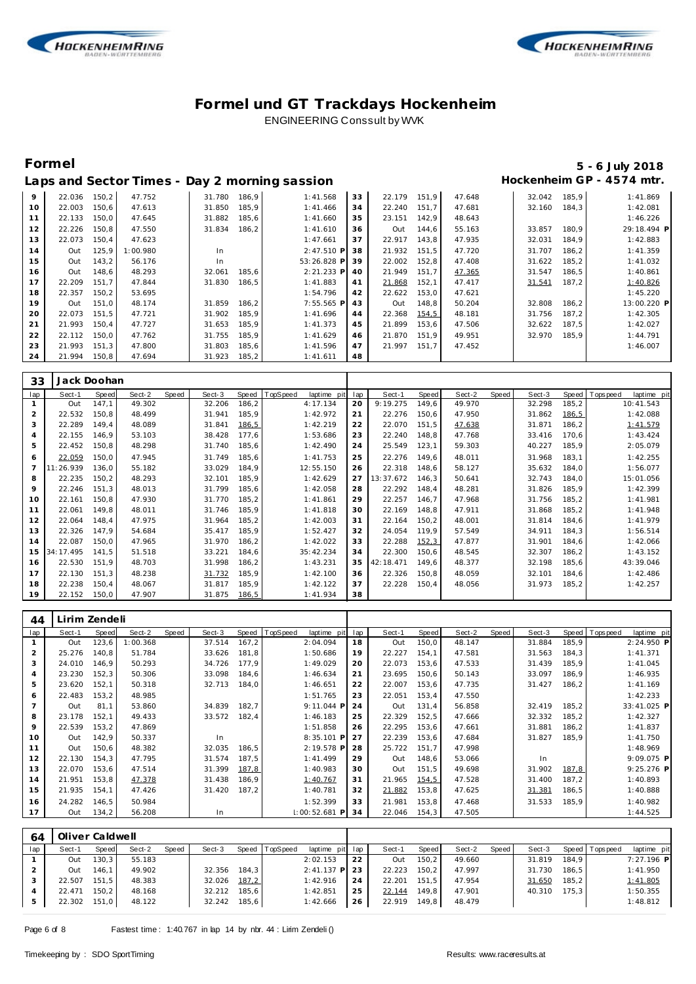



# **Formel 5 - 6 July 2018**

|    |        |       |          |        |       | Laps and Sector Times - Day 2 morning sassion |    |        |       |        |        |       | Hockenheim GP - 4574 mtr. |
|----|--------|-------|----------|--------|-------|-----------------------------------------------|----|--------|-------|--------|--------|-------|---------------------------|
| 9  | 22.036 | 150,2 | 47.752   | 31.780 | 186,9 | 1:41.568                                      | 33 | 22.179 | 151.9 | 47.648 | 32.042 | 185,9 | 1:41.869                  |
| 10 | 22.003 | 150.6 | 47.613   | 31.850 | 185,9 | 1:41.466                                      | 34 | 22.240 | 151.7 | 47.681 | 32.160 | 184.3 | 1:42.081                  |
| 11 | 22.133 | 150,0 | 47.645   | 31.882 | 185,6 | 1:41.660                                      | 35 | 23.151 | 142,9 | 48.643 |        |       | 1:46.226                  |
| 12 | 22.226 | 150,8 | 47.550   | 31.834 | 186,2 | 1:41.610                                      | 36 | Out    | 144,6 | 55.163 | 33.857 | 180,9 | 29:18.494 P               |
| 13 | 22.073 | 150,4 | 47.623   |        |       | 1:47.661                                      | 37 | 22.917 | 143.8 | 47.935 | 32.031 | 184,9 | 1:42.883                  |
| 14 | Out    | 125.9 | 1:00.980 | In.    |       | 2:47.510 P                                    | 38 | 21.932 | 151.5 | 47.720 | 31.707 | 186.2 | 1:41.359                  |
| 15 | Out    | 143,2 | 56.176   | In.    |       | 53:26.828 P                                   | 39 | 22.002 | 152,8 | 47.408 | 31.622 | 185,2 | 1:41.032                  |
| 16 | Out    | 148.6 | 48.293   | 32.061 | 185,6 | 2:21.233 P                                    | 40 | 21.949 | 151.7 | 47.365 | 31.547 | 186,5 | 1:40.861                  |
| 17 | 22.209 | 151.7 | 47.844   | 31.830 | 186,5 | 1:41.883                                      | 41 | 21.868 | 152,1 | 47.417 | 31.541 | 187,2 | 1:40.826                  |
| 18 | 22.357 | 150,2 | 53.695   |        |       | 1:54.796                                      | 42 | 22.622 | 153,0 | 47.621 |        |       | 1:45.220                  |
| 19 | Out    | 151.0 | 48.174   | 31.859 | 186,2 | 7:55.565 P                                    | 43 | Out    | 148,8 | 50.204 | 32.808 | 186,2 | 13:00.220 P               |
| 20 | 22.073 | 151.5 | 47.721   | 31.902 | 185,9 | 1:41.696                                      | 44 | 22.368 | 154,5 | 48.181 | 31.756 | 187,2 | 1:42.305                  |
| 21 | 21.993 | 150,4 | 47.727   | 31.653 | 185,9 | 1:41.373                                      | 45 | 21.899 | 153,6 | 47.506 | 32.622 | 187,5 | 1:42.027                  |
| 22 | 22.112 | 150.0 | 47.762   | 31.755 | 185.9 | 1:41.629                                      | 46 | 21.870 | 151.9 | 49.951 | 32.970 | 185.9 | 1:44.791                  |
| 23 | 21.993 | 151,3 | 47.800   | 31.803 | 185,6 | 1:41.596                                      | 47 | 21.997 | 151.7 | 47.452 |        |       | 1:46.007                  |
| 24 | 21.994 | 150,8 | 47.694   | 31.923 | 185,2 | 1:41.611                                      | 48 |        |       |        |        |       |                           |

| 33             |           | Jack Doohan  |        |       |        |       |          |             |     |           |       |        |       |        |       |                   |             |
|----------------|-----------|--------------|--------|-------|--------|-------|----------|-------------|-----|-----------|-------|--------|-------|--------|-------|-------------------|-------------|
| lap            | Sect-1    | <b>Speed</b> | Sect-2 | Speed | Sect-3 | Speed | TopSpeed | laptime pit | lap | Sect-1    | Speed | Sect-2 | Speed | Sect-3 | Speed | <b>T</b> ops peed | laptime pit |
|                | Out       | 147.1        | 49.302 |       | 32.206 | 186,2 |          | 4:17.134    | 20  | 9:19.275  | 149,6 | 49.970 |       | 32.298 | 185,2 |                   | 10:41.543   |
| 2              | 22.532    | 150,8        | 48.499 |       | 31.941 | 185,9 |          | 1:42.972    | 21  | 22.276    | 150,6 | 47.950 |       | 31.862 | 186,5 |                   | 1:42.088    |
| 3              | 22.289    | 149.4        | 48.089 |       | 31.841 | 186,5 |          | 1:42.219    | 22  | 22.070    | 151,5 | 47.638 |       | 31.871 | 186,2 |                   | 1:41.579    |
| 4              | 22.155    | 146,9        | 53.103 |       | 38.428 | 177,6 |          | 1:53.686    | 23  | 22.240    | 148,8 | 47.768 |       | 33.416 | 170,6 |                   | 1:43.424    |
| 5              | 22.452    | 150,8        | 48.298 |       | 31.740 | 185,6 |          | 1:42.490    | 24  | 25.549    | 123,1 | 59.303 |       | 40.227 | 185,9 |                   | 2:05.079    |
| 6              | 22.059    | 150,0        | 47.945 |       | 31.749 | 185,6 |          | 1:41.753    | 25  | 22.276    | 149,6 | 48.011 |       | 31.968 | 183,1 |                   | 1:42.255    |
| $\overline{7}$ | 11:26.939 | 136.0        | 55.182 |       | 33.029 | 184.9 |          | 12:55.150   | 26  | 22.318    | 148,6 | 58.127 |       | 35.632 | 184,0 |                   | 1:56.077    |
| 8              | 22.235    | 150,2        | 48.293 |       | 32.101 | 185,9 |          | 1:42.629    | 27  | 13:37.672 | 146,3 | 50.641 |       | 32.743 | 184,0 |                   | 15:01.056   |
| 9              | 22.246    | 151,3        | 48.013 |       | 31.799 | 185,6 |          | 1:42.058    | 28  | 22.292    | 148,4 | 48.281 |       | 31.826 | 185,9 |                   | 1:42.399    |
| 10             | 22.161    | 150,8        | 47.930 |       | 31.770 | 185,2 |          | 1:41.861    | 29  | 22.257    | 146,7 | 47.968 |       | 31.756 | 185,2 |                   | 1:41.981    |
| 11             | 22.061    | 149.8        | 48.011 |       | 31.746 | 185,9 |          | 1:41.818    | 30  | 22.169    | 148,8 | 47.911 |       | 31.868 | 185,2 |                   | 1:41.948    |
| 12             | 22.064    | 148.4        | 47.975 |       | 31.964 | 185,2 |          | 1:42.003    | 31  | 22.164    | 150,2 | 48.001 |       | 31.814 | 184,6 |                   | 1:41.979    |
| 13             | 22.326    | 147,9        | 54.684 |       | 35.417 | 185,9 |          | 1:52.427    | 32  | 24.054    | 119,9 | 57.549 |       | 34.911 | 184,3 |                   | 1:56.514    |
| 14             | 22.087    | 150,0        | 47.965 |       | 31.970 | 186,2 |          | 1:42.022    | 33  | 22.288    | 152,3 | 47.877 |       | 31.901 | 184,6 |                   | 1:42.066    |
| 15             | 34:17.495 | 141.5        | 51.518 |       | 33.221 | 184,6 |          | 35:42.234   | 34  | 22.300    | 150,6 | 48.545 |       | 32.307 | 186,2 |                   | 1:43.152    |
| 16             | 22.530    | 151,9        | 48.703 |       | 31.998 | 186,2 |          | 1:43.231    | 35  | 42:18.471 | 149,6 | 48.377 |       | 32.198 | 185,6 |                   | 43:39.046   |
| 17             | 22.130    | 151.3        | 48.238 |       | 31.732 | 185,9 |          | 1:42.100    | 36  | 22.326    | 150,8 | 48.059 |       | 32.101 | 184,6 |                   | 1:42.486    |
| 18             | 22.238    | 150,4        | 48.067 |       | 31.817 | 185,9 |          | 1:42.122    | 37  | 22.228    | 150,4 | 48.056 |       | 31.973 | 185,2 |                   | 1:42.257    |
| 19             | 22.152    | 150,0        | 47.907 |       | 31.875 | 186,5 |          | 1:41.934    | 38  |           |       |        |       |        |       |                   |             |

| 44             | Lirim Zendeli |       |          |       |        |       |          |                 |     |        |       |        |       |        |       |                |             |  |
|----------------|---------------|-------|----------|-------|--------|-------|----------|-----------------|-----|--------|-------|--------|-------|--------|-------|----------------|-------------|--|
| lap            | Sect-1        | Speed | Sect-2   | Speed | Sect-3 | Speed | TopSpeed | laptime pit     | lap | Sect-1 | Speed | Sect-2 | Speed | Sect-3 |       | Speed Topspeed | laptime pit |  |
|                | Out           | 123,6 | 1:00.368 |       | 37.514 | 167,2 |          | 2:04.094        | 18  | Out    | 150,0 | 48.147 |       | 31.884 | 185,9 |                | 2:24.950 P  |  |
| $\overline{2}$ | 25.276        | 140.8 | 51.784   |       | 33.626 | 181.8 |          | 1:50.686        | 19  | 22.227 | 154.1 | 47.581 |       | 31.563 | 184,3 |                | 1:41.371    |  |
| 3              | 24.010        | 146,9 | 50.293   |       | 34.726 | 177,9 |          | 1:49.029        | 20  | 22.073 | 153,6 | 47.533 |       | 31.439 | 185,9 |                | 1:41.045    |  |
| $\overline{4}$ | 23.230        | 152,3 | 50.306   |       | 33.098 | 184,6 |          | 1:46.634        | 21  | 23.695 | 150,6 | 50.143 |       | 33.097 | 186,9 |                | 1:46.935    |  |
| 5              | 23.620        | 152,1 | 50.318   |       | 32.713 | 184,0 |          | 1:46.651        | 22  | 22.007 | 153,6 | 47.735 |       | 31.427 | 186,2 |                | 1:41.169    |  |
| 6              | 22.483        | 153,2 | 48.985   |       |        |       |          | 1:51.765        | 23  | 22.051 | 153,4 | 47.550 |       |        |       |                | 1:42.233    |  |
| $\overline{7}$ | Out           | 81,1  | 53.860   |       | 34.839 | 182,7 |          | 9:11.044 P      | 24  | Out    | 131,4 | 56.858 |       | 32.419 | 185,2 |                | 33:41.025 P |  |
| 8              | 23.178        | 152,1 | 49.433   |       | 33.572 | 182.4 |          | 1:46.183        | 25  | 22.329 | 152,5 | 47.666 |       | 32.332 | 185,2 |                | 1:42.327    |  |
| 9              | 22.539        | 153,2 | 47.869   |       |        |       |          | 1:51.858        | 26  | 22.295 | 153,6 | 47.661 |       | 31.881 | 186,2 |                | 1:41.837    |  |
| 10             | Out           | 142,9 | 50.337   |       | In.    |       |          | 8:35.101 P      | 27  | 22.239 | 153,6 | 47.684 |       | 31.827 | 185,9 |                | 1:41.750    |  |
| 11             | Out           | 150,6 | 48.382   |       | 32.035 | 186,5 |          | 2:19.578 P      | 28  | 25.722 | 151.7 | 47.998 |       |        |       |                | 1:48.969    |  |
| 12             | 22.130        | 154,3 | 47.795   |       | 31.574 | 187,5 |          | 1:41.499        | 29  | Out    | 148,6 | 53.066 |       | In.    |       |                | 9:09.075 P  |  |
| 13             | 22.070        | 153,6 | 47.514   |       | 31.399 | 187,8 |          | 1:40.983        | 30  | Out    | 151,5 | 49.698 |       | 31.902 | 187,8 |                | 9:25.276 P  |  |
| 14             | 21.951        | 153,8 | 47.378   |       | 31.438 | 186,9 |          | 1:40.767        | 31  | 21.965 | 154,5 | 47.528 |       | 31.400 | 187,2 |                | 1:40.893    |  |
| 15             | 21.935        | 154,1 | 47.426   |       | 31.420 | 187,2 |          | 1:40.781        | 32  | 21.882 | 153,8 | 47.625 |       | 31.381 | 186,5 |                | 1:40.888    |  |
| 16             | 24.282        | 146,5 | 50.984   |       |        |       |          | 1:52.399        | 33  | 21.981 | 153,8 | 47.468 |       | 31.533 | 185,9 |                | 1:40.982    |  |
| 17             | Out           | 134,2 | 56.208   |       | In     |       |          | $1:00:52.681$ P | 34  | 22.046 | 154,3 | 47.505 |       |        |       |                | 1:44.525    |  |

| 64  |        | Oliver Caldwell |        |              |        |       |                 |                 |    |        |         |        |       |        |       |                 |              |
|-----|--------|-----------------|--------|--------------|--------|-------|-----------------|-----------------|----|--------|---------|--------|-------|--------|-------|-----------------|--------------|
| lap | Sect-1 | Speed           | Sect-2 | <b>Speed</b> | Sect-3 | Speed | <b>TopSpeed</b> | laptime pit lap |    | Sect-1 | Speed I | Sect-2 | Speed | Sect-3 |       | Speed Tops peed | laptime pit  |
|     | Out    | 130,3           | 55.183 |              |        |       |                 | 2:02.153        | 22 | Out    | 150.2   | 49.660 |       | 31.819 | 184.9 |                 | $7:27.196$ P |
|     | Out    | 146.1           | 49.902 |              | 32.356 | 184.3 |                 | $2:41.137$ P    | 23 | 22.223 | 150.2   | 47.997 |       | 31.730 | 186.5 |                 | 1:41.950     |
|     | 22.507 | 151.5           | 48.383 |              | 32.026 | 187,2 |                 | 1:42.916        | 24 | 22.201 | 151.5   | 47.954 |       | 31.650 | 185.2 |                 | 1:41.805     |
|     | 22.471 | 150.2           | 48.168 |              | 32.212 | 185.6 |                 | 1:42.851        | 25 | 22.144 | 149.8   | 47.901 |       | 40.310 | 175.3 |                 | 1:50.355     |
|     | 22.302 | 151,0           | 48.122 |              | 32.242 | 185,6 |                 | 1:42.666        | 26 | 22.919 | 149,8   | 48.479 |       |        |       |                 | 1:48.812     |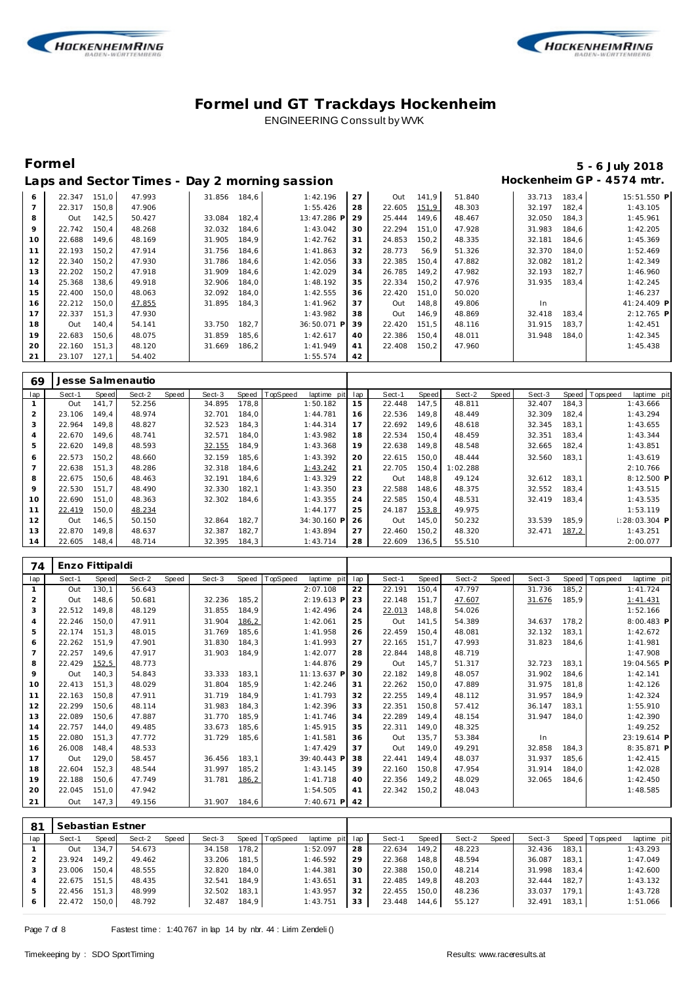



### **Formel 5 - 6 July 2018** Hockenheim GP - 4574 mtr.

| Laps and Sector Times - Day 2 morning sassion |  |
|-----------------------------------------------|--|
|-----------------------------------------------|--|

| 6  | 22.347 | 151,0 | 47.993 | 31.856 | 184,6 | 1:42.196    | 27 | Out    | 141,9 | 51.840 | 33.713 | 183.4 | 15:51.550 P |
|----|--------|-------|--------|--------|-------|-------------|----|--------|-------|--------|--------|-------|-------------|
| 7  | 22.317 | 150,8 | 47.906 |        |       | 1:55.426    | 28 | 22.605 | 151,9 | 48.303 | 32.197 | 182,4 | 1:43.105    |
| 8  | Out    | 142,5 | 50.427 | 33.084 | 182,4 | 13:47.286 P | 29 | 25.444 | 149,6 | 48.467 | 32.050 | 184,3 | 1:45.961    |
| 9  | 22.742 | 150,4 | 48.268 | 32.032 | 184,6 | 1:43.042    | 30 | 22.294 | 151.0 | 47.928 | 31.983 | 184.6 | 1:42.205    |
| 10 | 22.688 | 149,6 | 48.169 | 31.905 | 184,9 | 1:42.762    | 31 | 24.853 | 150,2 | 48.335 | 32.181 | 184,6 | 1:45.369    |
| 11 | 22.193 | 150,2 | 47.914 | 31.756 | 184,6 | 1:41.863    | 32 | 28.773 | 56,9  | 51.326 | 32.370 | 184.0 | 1:52.469    |
| 12 | 22.340 | 150,2 | 47.930 | 31.786 | 184,6 | 1:42.056    | 33 | 22.385 | 150,4 | 47.882 | 32.082 | 181,2 | 1:42.349    |
| 13 | 22.202 | 150,2 | 47.918 | 31.909 | 184,6 | 1:42.029    | 34 | 26.785 | 149,2 | 47.982 | 32.193 | 182,7 | 1:46.960    |
| 14 | 25.368 | 138,6 | 49.918 | 32.906 | 184,0 | 1:48.192    | 35 | 22.334 | 150,2 | 47.976 | 31.935 | 183,4 | 1:42.245    |
| 15 | 22.400 | 150,0 | 48.063 | 32.092 | 184,0 | 1:42.555    | 36 | 22.420 | 151.0 | 50.020 |        |       | 1:46.237    |
| 16 | 22.212 | 150,0 | 47.855 | 31.895 | 184,3 | 1:41.962    | 37 | Out    | 148,8 | 49.806 | In.    |       | 41:24.409 P |
| 17 | 22.337 | 151,3 | 47.930 |        |       | 1:43.982    | 38 | Out    | 146,9 | 48.869 | 32.418 | 183,4 | 2:12.765 P  |
| 18 | Out    | 140,4 | 54.141 | 33.750 | 182,7 | 36:50.071 P | 39 | 22.420 | 151,5 | 48.116 | 31.915 | 183,7 | 1:42.451    |
| 19 | 22.683 | 150,6 | 48.075 | 31.859 | 185,6 | 1:42.617    | 40 | 22.386 | 150,4 | 48.011 | 31.948 | 184.0 | 1:42.345    |
| 20 | 22.160 | 151,3 | 48.120 | 31.669 | 186,2 | 1:41.949    | 41 | 22.408 | 150,2 | 47.960 |        |       | 1:45.438    |
| 21 | 23.107 | 127,1 | 54.402 |        |       | 1:55.574    | 42 |        |       |        |        |       |             |

| 69  |        |       | Jesse Salmenautio |       |        |       |          |             |     |        |       |          |       |        |       |                 |                       |
|-----|--------|-------|-------------------|-------|--------|-------|----------|-------------|-----|--------|-------|----------|-------|--------|-------|-----------------|-----------------------|
| lap | Sect-1 | Speed | Sect-2            | Speed | Sect-3 | Speed | TopSpeed | laptime pit | lap | Sect-1 | Speed | Sect-2   | Speed | Sect-3 |       | Speed Tops peed | laptime pit           |
|     | Out    | 141.7 | 52.256            |       | 34.895 | 178.8 |          | 1:50.182    | 15  | 22.448 | 147.5 | 48.811   |       | 32.407 | 184.3 |                 | 1:43.666              |
| 2   | 23.106 | 149.4 | 48.974            |       | 32.701 | 184.0 |          | 1:44.781    | 16  | 22.536 | 149.8 | 48.449   |       | 32.309 | 182.4 |                 | 1:43.294              |
| 3   | 22.964 | 149.8 | 48.827            |       | 32.523 | 184.3 |          | 1:44.314    | 17  | 22.692 | 149.6 | 48.618   |       | 32.345 | 183.1 |                 | 1:43.655              |
| 4   | 22.670 | 149.6 | 48.741            |       | 32.571 | 184.0 |          | 1:43.982    | 18  | 22.534 | 150.4 | 48.459   |       | 32.351 | 183.4 |                 | 1:43.344              |
| 5   | 22.620 | 149,8 | 48.593            |       | 32.155 | 184,9 |          | 1:43.368    | 19  | 22.638 | 149,8 | 48.548   |       | 32.665 | 182,4 |                 | 1:43.851              |
| 6   | 22.573 | 150.2 | 48.660            |       | 32.159 | 185,6 |          | 1:43.392    | 20  | 22.615 | 150.0 | 48.444   |       | 32.560 | 183.1 |                 | 1:43.619              |
|     | 22.638 | 151.3 | 48.286            |       | 32.318 | 184.6 |          | 1:43.242    | 21  | 22.705 | 150.4 | 1:02.288 |       |        |       |                 | 2:10.766              |
| 8   | 22.675 | 150.6 | 48.463            |       | 32.191 | 184.6 |          | 1:43.329    | 22  | Out    | 148,8 | 49.124   |       | 32.612 | 183.1 |                 | 8:12.500 P            |
| 9   | 22.530 | 151.7 | 48.490            |       | 32.330 | 182,1 |          | 1:43.350    | 23  | 22.588 | 148.6 | 48.375   |       | 32.552 | 183.4 |                 | 1:43.515              |
| 10  | 22.690 | 151.0 | 48.363            |       | 32.302 | 184.6 |          | 1:43.355    | 24  | 22.585 | 150.4 | 48.531   |       | 32.419 | 183.4 |                 | 1:43.535              |
| 11  | 22.419 | 150,0 | 48.234            |       |        |       |          | 1:44.177    | 25  | 24.187 | 153,8 | 49.975   |       |        |       |                 | 1:53.119              |
| 12  | Out    | 146.5 | 50.150            |       | 32.864 | 182.7 |          | 34:30.160 P | 26  | Out    | 145,0 | 50.232   |       | 33.539 | 185.9 |                 | $\mid$ : 28: 03.304 P |
| 13  | 22.870 | 149.8 | 48.637            |       | 32.387 | 182,7 |          | 1:43.894    | 27  | 22.460 | 150.2 | 48.320   |       | 32.471 | 187,2 |                 | 1:43.251              |
| 14  | 22.605 | 148,4 | 48.714            |       | 32.395 | 184,3 |          | 1:43.714    | 28  | 22.609 | 136,5 | 55.510   |       |        |       |                 | 2:00.077              |

| 74             | Enzo Fittipaldi |       |        |       |        |       |          |             |     |        |       |        |       |        |       |             |             |  |
|----------------|-----------------|-------|--------|-------|--------|-------|----------|-------------|-----|--------|-------|--------|-------|--------|-------|-------------|-------------|--|
| lap            | Sect-1          | Speed | Sect-2 | Speed | Sect-3 | Speed | TopSpeed | laptime pit | lap | Sect-1 | Speed | Sect-2 | Speed | Sect-3 | Speed | T ops pee d | laptime pit |  |
| $\mathbf{1}$   | Out             | 130,1 | 56.643 |       |        |       |          | 2:07.108    | 22  | 22.191 | 150,4 | 47.797 |       | 31.736 | 185,2 |             | 1:41.724    |  |
| $\overline{2}$ | Out             | 148,6 | 50.681 |       | 32.236 | 185,2 |          | 2:19.613 P  | 23  | 22.148 | 151,7 | 47.607 |       | 31.676 | 185,9 |             | 1:41.431    |  |
| 3              | 22.512          | 149,8 | 48.129 |       | 31.855 | 184,9 |          | 1:42.496    | 24  | 22.013 | 148,8 | 54.026 |       |        |       |             | 1:52.166    |  |
| $\overline{4}$ | 22.246          | 150,0 | 47.911 |       | 31.904 | 186,2 |          | 1:42.061    | 25  | Out    | 141,5 | 54.389 |       | 34.637 | 178,2 |             | 8:00.483 P  |  |
| 5              | 22.174          | 151,3 | 48.015 |       | 31.769 | 185,6 |          | 1:41.958    | 26  | 22.459 | 150,4 | 48.081 |       | 32.132 | 183,1 |             | 1:42.672    |  |
| 6              | 22.262          | 151,9 | 47.901 |       | 31.830 | 184,3 |          | 1:41.993    | 27  | 22.165 | 151,7 | 47.993 |       | 31.823 | 184,6 |             | 1:41.981    |  |
| $\overline{7}$ | 22.257          | 149,6 | 47.917 |       | 31.903 | 184,9 |          | 1:42.077    | 28  | 22.844 | 148,8 | 48.719 |       |        |       |             | 1:47.908    |  |
| 8              | 22.429          | 152,5 | 48.773 |       |        |       |          | 1:44.876    | 29  | Out    | 145,7 | 51.317 |       | 32.723 | 183,1 |             | 19:04.565 P |  |
| 9              | Out             | 140,3 | 54.843 |       | 33.333 | 183,1 |          | 11:13.637 P | 30  | 22.182 | 149.8 | 48.057 |       | 31.902 | 184,6 |             | 1:42.141    |  |
| 10             | 22.413          | 151,3 | 48.029 |       | 31.804 | 185,9 |          | 1:42.246    | 31  | 22.262 | 150,0 | 47.889 |       | 31.975 | 181,8 |             | 1:42.126    |  |
| 11             | 22.163          | 150,8 | 47.911 |       | 31.719 | 184,9 |          | 1:41.793    | 32  | 22.255 | 149,4 | 48.112 |       | 31.957 | 184,9 |             | 1:42.324    |  |
| 12             | 22.299          | 150,6 | 48.114 |       | 31.983 | 184,3 |          | 1:42.396    | 33  | 22.351 | 150,8 | 57.412 |       | 36.147 | 183,1 |             | 1:55.910    |  |
| 13             | 22.089          | 150,6 | 47.887 |       | 31.770 | 185,9 |          | 1:41.746    | 34  | 22.289 | 149,4 | 48.154 |       | 31.947 | 184,0 |             | 1:42.390    |  |
| 14             | 22.757          | 144,0 | 49.485 |       | 33.673 | 185,6 |          | 1:45.915    | 35  | 22.311 | 149,0 | 48.325 |       |        |       |             | 1:49.252    |  |
| 15             | 22.080          | 151,3 | 47.772 |       | 31.729 | 185,6 |          | 1:41.581    | 36  | Out    | 135,7 | 53.384 |       | In     |       |             | 23:19.614 P |  |
| 16             | 26.008          | 148,4 | 48.533 |       |        |       |          | 1:47.429    | 37  | Out    | 149,0 | 49.291 |       | 32.858 | 184,3 |             | 8:35.871 P  |  |
| 17             | Out             | 129,0 | 58.457 |       | 36.456 | 183,1 |          | 39:40.443 P | 38  | 22.441 | 149,4 | 48.037 |       | 31.937 | 185,6 |             | 1:42.415    |  |
| 18             | 22.604          | 152,3 | 48.544 |       | 31.997 | 185,2 |          | 1:43.145    | 39  | 22.160 | 150,8 | 47.954 |       | 31.914 | 184,0 |             | 1:42.028    |  |
| 19             | 22.188          | 150,6 | 47.749 |       | 31.781 | 186,2 |          | 1:41.718    | 40  | 22.356 | 149,2 | 48.029 |       | 32.065 | 184,6 |             | 1:42.450    |  |
| 20             | 22.045          | 151,0 | 47.942 |       |        |       |          | 1:54.505    | 41  | 22.342 | 150,2 | 48.043 |       |        |       |             | 1:48.585    |  |
| 21             | Out             | 147,3 | 49.156 |       | 31.907 | 184,6 |          | 7:40.671 P  | 42  |        |       |        |       |        |       |             |             |  |

| 81  | Sebastian Estner |       |        |       |        |       |                |                 |    |        |                    |        |       |        |       |                |             |
|-----|------------------|-------|--------|-------|--------|-------|----------------|-----------------|----|--------|--------------------|--------|-------|--------|-------|----------------|-------------|
| lap | Sect-1           | Speed | Sect-2 | Speed | Sect-3 |       | Speed TopSpeed | laptime pit lap |    | Sect-1 | Speed              | Sect-2 | Speed | Sect-3 |       | Speed Topspeed | laptime pit |
|     | Out              | 134.7 | 54.673 |       | 34.158 | 178.2 |                | 1:52.097        | 28 | 22.634 | 149.2              | 48.223 |       | 32.436 | 183.1 |                | 1:43.293    |
|     | 23.924           | 149.2 | 49.462 |       | 33.206 | 181.5 |                | 1:46.592        | 29 | 22.368 | 148.8              | 48.594 |       | 36.087 | 183.1 |                | 1:47.049    |
| 3   | 23.006           | 150.4 | 48.555 |       | 32.820 | 184.0 |                | 1:44.381        | 30 | 22.388 | 150.0              | 48.214 |       | 31.998 | 183.4 |                | 1:42.600    |
|     | 22.675           | 151.5 | 48.435 |       | 32.541 | 184.9 |                | 1:43.651        | 31 | 22.485 | 149.8 <sub>1</sub> | 48.203 |       | 32.444 | 182.7 |                | 1:43.132    |
|     | 22.456           | 151.3 | 48.999 |       | 32.502 | 183.1 |                | 1:43.957        | 32 | 22.455 | 150.0              | 48.236 |       | 33.037 | 179.1 |                | 1:43.728    |
| 6   | 22.472           | 150.0 | 48.792 |       | 32.487 | 184,9 |                | 1:43.751        | 33 | 23.448 | 144.6              | 55.127 |       | 32.491 | 183,1 |                | 1:51.066    |